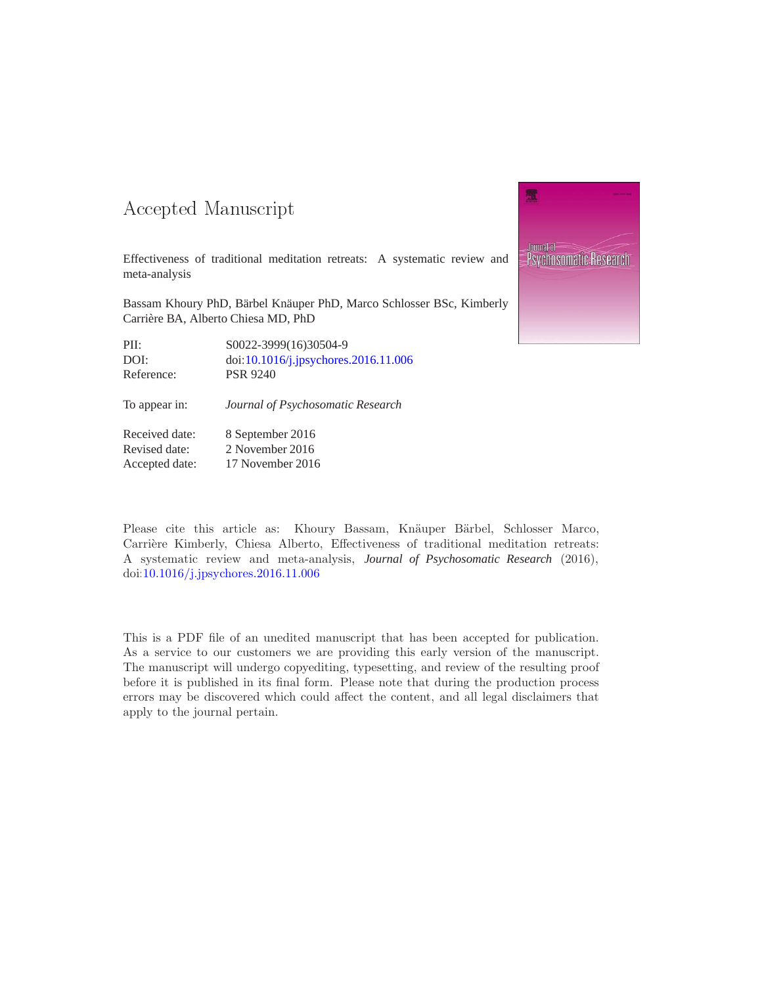### -- -

Revised date: 2 November 2016 Accepted date: 17 November 2016

Effectiveness of traditional meditation retreats: A systematic review and meta-analysis

Bassam Khoury PhD, Bärbel Knäuper PhD, Marco Schlosser BSc, Kimberly Carrière BA, Alberto Chiesa MD, PhD

| PII:           | S0022-3999(16)30504-9                |
|----------------|--------------------------------------|
| DOI:           | doi:10.1016/j.jpsychores.2016.11.006 |
| Reference:     | <b>PSR 9240</b>                      |
| To appear in:  | Journal of Psychosomatic Research    |
| Received date: | 8 September 2016                     |



Please cite this article as: Khoury Bassam, Knäuper Bärbel, Schlosser Marco, Carrière Kimberly, Chiesa Alberto, Effectiveness of traditional meditation retreats: A systematic review and meta-analysis, *Journal of Psychosomatic Research* (2016), doi[:10.1016/j.jpsychores.2016.11.006](http://dx.doi.org/10.1016/j.jpsychores.2016.11.006)

This is a PDF file of an unedited manuscript that has been accepted for publication. As a service to our customers we are providing this early version of the manuscript. The manuscript will undergo copyediting, typesetting, and review of the resulting proof before it is published in its final form. Please note that during the production process errors may be discovered which could affect the content, and all legal disclaimers that apply to the journal pertain.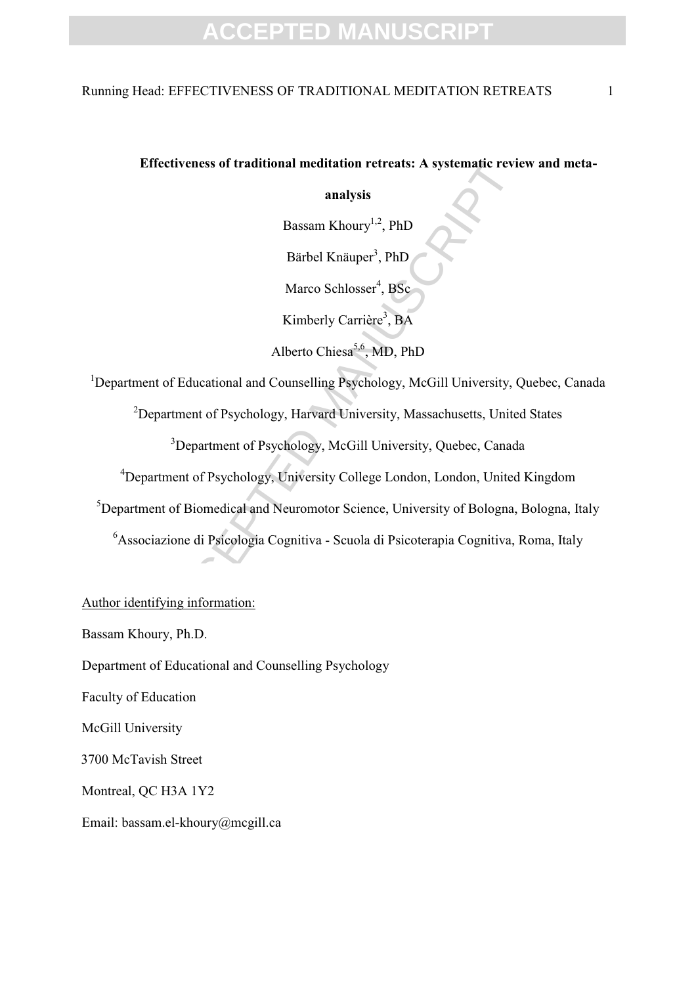### Running Head: EFFECTIVENESS OF TRADITIONAL MEDITATION RETREATS 1

### **Effectiveness of traditional meditation retreats: A systematic review and meta-**

**analysis**

Bassam Khoury<sup>1,2</sup>, PhD

Bärbel Knäuper<sup>3</sup>, PhD

Marco Schlosser<sup>4</sup>, BSc

Kimberly Carrière<sup>3</sup>, BA

Alberto Chiesa<sup>5,6</sup>, MD, PhD

Tectiveness of traditional meditation retreats: A systematic revious analysis<br>
Bassam Khoury<sup>1,2</sup>, PhD<br>
Bärbel Knäuper<sup>3</sup>, PhD<br>
Marco Schlosser<sup>4</sup>, BSc<br>
Kimberly Carrière<sup>3</sup>, BA<br>
Alberto Chiesa<sup>5,6</sup>, MD, PhD<br>
and Marco Sch <sup>1</sup>Department of Educational and Counselling Psychology, McGill University, Quebec, Canada

<sup>2</sup>Department of Psychology, Harvard University, Massachusetts, United States

<sup>3</sup>Department of Psychology, McGill University, Quebec, Canada

<sup>4</sup>Department of Psychology, University College London, London, United Kingdom

 ${}^{5}$ Department of Biomedical and Neuromotor Science, University of Bologna, Bologna, Italy

<sup>6</sup>Associazione di Psicologia Cognitiva - Scuola di Psicoterapia Cognitiva, Roma, Italy

Author identifying information:

Bassam Khoury, Ph.D.

Department of Educational and Counselling Psychology

Faculty of Education

McGill University

3700 McTavish Street

Montreal, QC H3A 1Y2

Email: bassam.el-khoury@mcgill.ca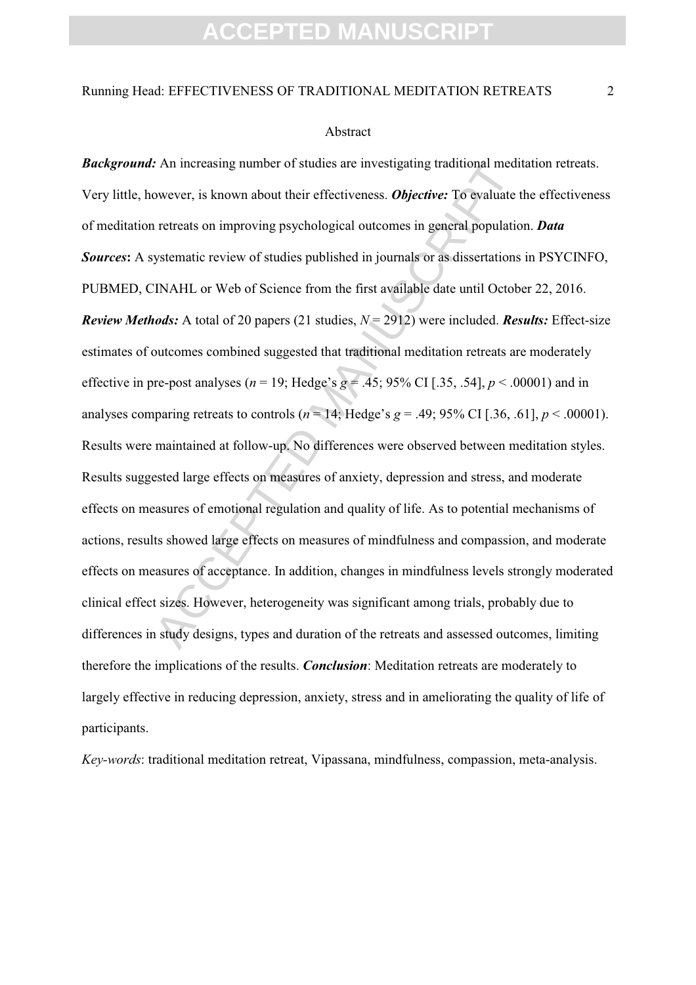#### Abstract

An increasing number of studies are investigating traditional mediowever, is known about their effectiveness. *Objective*: To evaluate to retreats on improving psychological outcomes in general population vystematic revie **Background:** An increasing number of studies are investigating traditional meditation retreats. Very little, however, is known about their effectiveness. *Objective:* To evaluate the effectiveness of meditation retreats on improving psychological outcomes in general population. *Data Sources***:** A systematic review of studies published in journals or as dissertations in PSYCINFO, PUBMED, CINAHL or Web of Science from the first available date until October 22, 2016. *Review Methods:* A total of 20 papers (21 studies, *N* = 2912) were included. *Results:* Effect-size estimates of outcomes combined suggested that traditional meditation retreats are moderately effective in pre-post analyses ( $n = 19$ ; Hedge's  $g = .45$ ; 95% CI [.35, .54],  $p < .00001$ ) and in analyses comparing retreats to controls ( $n = 14$ ; Hedge's  $g = .49$ ; 95% CI [.36, .61],  $p < .00001$ ). Results were maintained at follow-up. No differences were observed between meditation styles. Results suggested large effects on measures of anxiety, depression and stress, and moderate effects on measures of emotional regulation and quality of life. As to potential mechanisms of actions, results showed large effects on measures of mindfulness and compassion, and moderate effects on measures of acceptance. In addition, changes in mindfulness levels strongly moderated clinical effect sizes. However, heterogeneity was significant among trials, probably due to differences in study designs, types and duration of the retreats and assessed outcomes, limiting therefore the implications of the results. *Conclusion*: Meditation retreats are moderately to largely effective in reducing depression, anxiety, stress and in ameliorating the quality of life of participants.

*Key-words*: traditional meditation retreat, Vipassana, mindfulness, compassion, meta-analysis.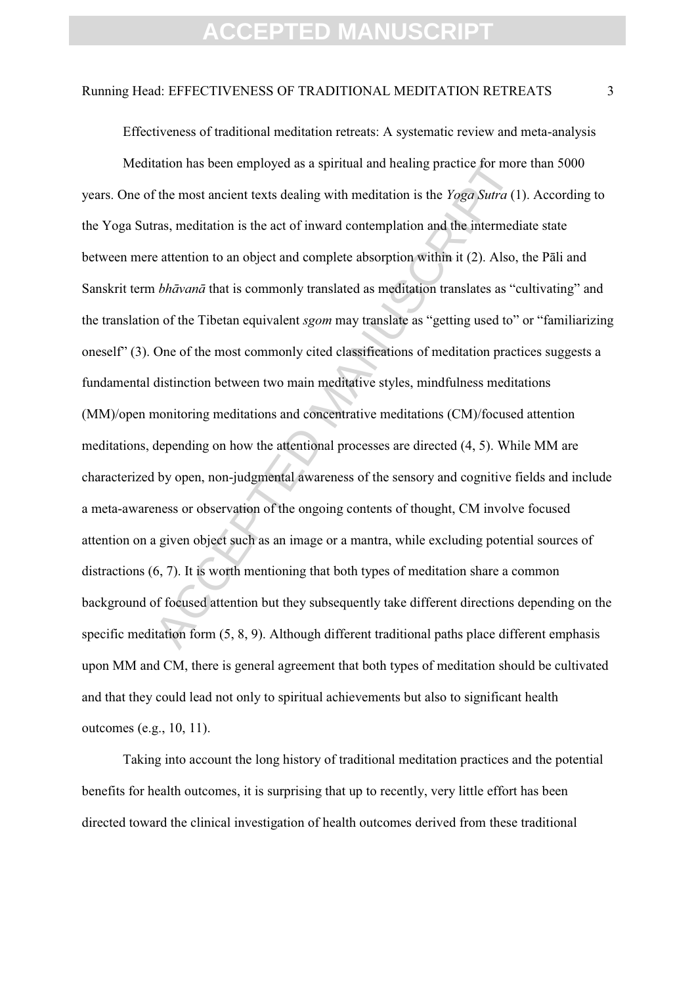### Running Head: EFFECTIVENESS OF TRADITIONAL MEDITATION RETREATS 3

Effectiveness of traditional meditation retreats: A systematic review and meta-analysis

tation has been employed as a spiritual and healing practice for more<br>the most ancient texts dealing with meditation is the *Yoga Sutra* (1<br>ras, meditation is the act of inward contemplation and the intermedie<br>attention to Meditation has been employed as a spiritual and healing practice for more than 5000 years. One of the most ancient texts dealing with meditation is the *Yoga Sutra* (1). According to the Yoga Sutras, meditation is the act of inward contemplation and the intermediate state between mere attention to an object and complete absorption within it (2). Also, the Pāli and Sanskrit term *bhāvanā* that is commonly translated as meditation translates as "cultivating" and the translation of the Tibetan equivalent *sgom* may translate as "getting used to" or "familiarizing oneself" (3). One of the most commonly cited classifications of meditation practices suggests a fundamental distinction between two main meditative styles, mindfulness meditations (MM)/open monitoring meditations and concentrative meditations (CM)/focused attention meditations, depending on how the attentional processes are directed (4, 5). While MM are characterized by open, non-judgmental awareness of the sensory and cognitive fields and include a meta-awareness or observation of the ongoing contents of thought, CM involve focused attention on a given object such as an image or a mantra, while excluding potential sources of distractions (6, 7). It is worth mentioning that both types of meditation share a common background of focused attention but they subsequently take different directions depending on the specific meditation form (5, 8, 9). Although different traditional paths place different emphasis upon MM and CM, there is general agreement that both types of meditation should be cultivated and that they could lead not only to spiritual achievements but also to significant health outcomes (e.g., 10, 11).

Taking into account the long history of traditional meditation practices and the potential benefits for health outcomes, it is surprising that up to recently, very little effort has been directed toward the clinical investigation of health outcomes derived from these traditional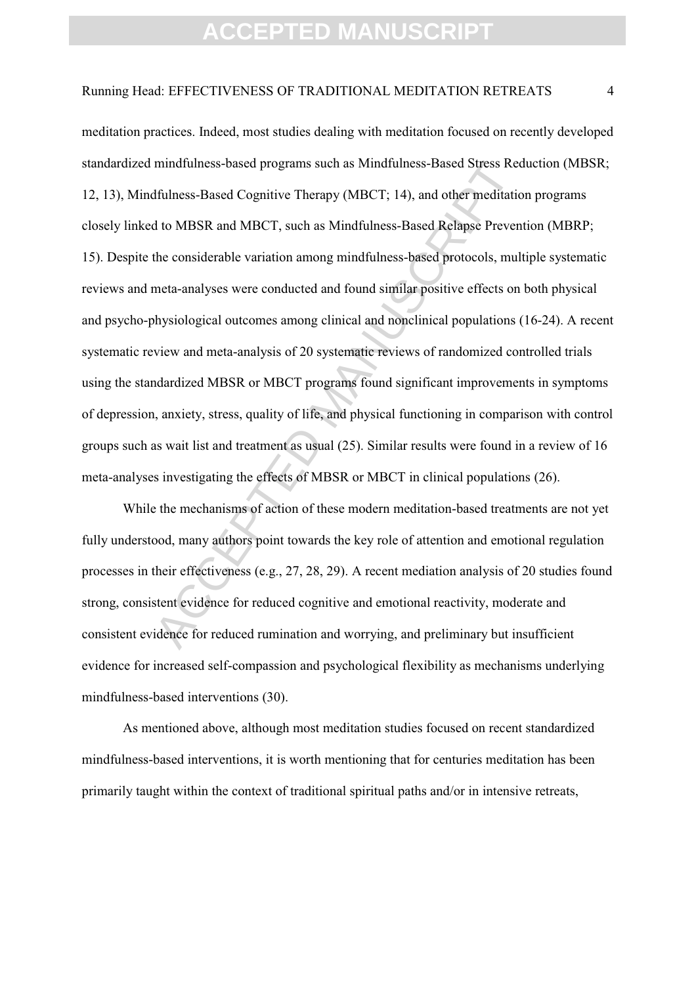### Running Head: EFFECTIVENESS OF TRADITIONAL MEDITATION RETREATS 4

mindfulness-based programs such as Mindfulness-Based Stress Rec<br>dfulness-Based Cognitive Therapy (MBCT; 14), and other meditation<br>d to MBSR and MBCT, such as Mindfulness-Based Relapse Preven<br>the considerable variation amon meditation practices. Indeed, most studies dealing with meditation focused on recently developed standardized mindfulness-based programs such as Mindfulness-Based Stress Reduction (MBSR; 12, 13), Mindfulness-Based Cognitive Therapy (MBCT; 14), and other meditation programs closely linked to MBSR and MBCT, such as Mindfulness-Based Relapse Prevention (MBRP; 15). Despite the considerable variation among mindfulness-based protocols, multiple systematic reviews and meta-analyses were conducted and found similar positive effects on both physical and psycho-physiological outcomes among clinical and nonclinical populations (16-24). A recent systematic review and meta-analysis of 20 systematic reviews of randomized controlled trials using the standardized MBSR or MBCT programs found significant improvements in symptoms of depression, anxiety, stress, quality of life, and physical functioning in comparison with control groups such as wait list and treatment as usual (25). Similar results were found in a review of 16 meta-analyses investigating the effects of MBSR or MBCT in clinical populations (26).

While the mechanisms of action of these modern meditation-based treatments are not yet fully understood, many authors point towards the key role of attention and emotional regulation processes in their effectiveness (e.g., 27, 28, 29). A recent mediation analysis of 20 studies found strong, consistent evidence for reduced cognitive and emotional reactivity, moderate and consistent evidence for reduced rumination and worrying, and preliminary but insufficient evidence for increased self-compassion and psychological flexibility as mechanisms underlying mindfulness-based interventions (30).

As mentioned above, although most meditation studies focused on recent standardized mindfulness-based interventions, it is worth mentioning that for centuries meditation has been primarily taught within the context of traditional spiritual paths and/or in intensive retreats,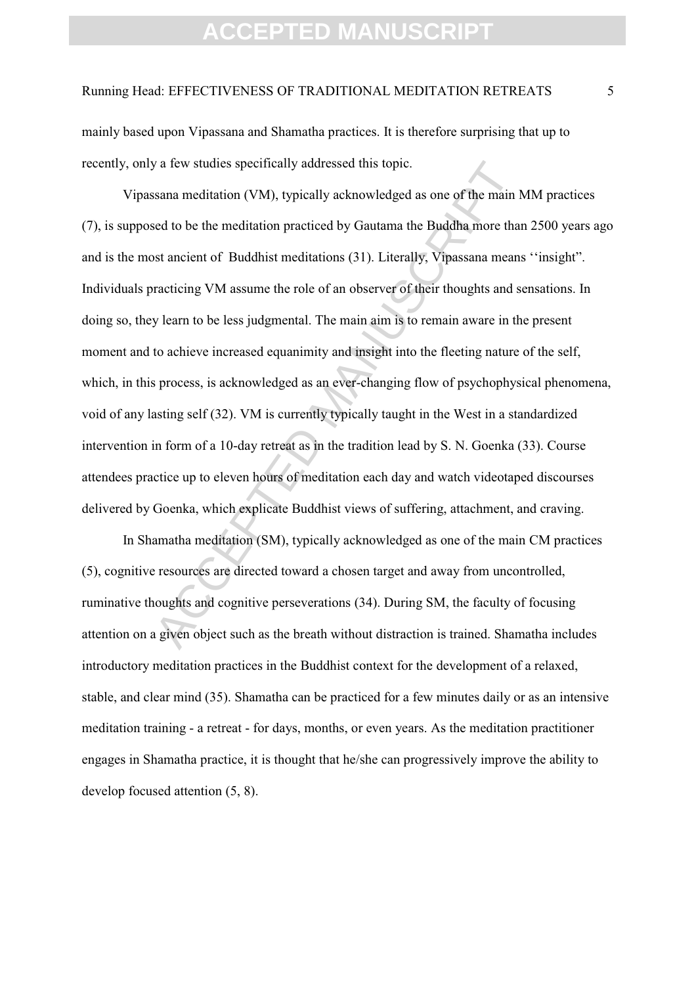#### Running Head: EFFECTIVENESS OF TRADITIONAL MEDITATION RETREATS 5

mainly based upon Vipassana and Shamatha practices. It is therefore surprising that up to recently, only a few studies specifically addressed this topic.

y a few studies specifically addressed this topic.<br>
Sisana meditation (VM), typically acknowledged as one of the main head to be the meditation practiced by Gautama the Buddha more than<br>
sist ancient of Buddhist meditation Vipassana meditation (VM), typically acknowledged as one of the main MM practices (7), is supposed to be the meditation practiced by Gautama the Buddha more than 2500 years ago and is the most ancient of Buddhist meditations (31). Literally, Vipassana means ''insight". Individuals practicing VM assume the role of an observer of their thoughts and sensations. In doing so, they learn to be less judgmental. The main aim is to remain aware in the present moment and to achieve increased equanimity and insight into the fleeting nature of the self, which, in this process, is acknowledged as an ever-changing flow of psychophysical phenomena, void of any lasting self (32). VM is currently typically taught in the West in a standardized intervention in form of a 10-day retreat as in the tradition lead by S. N. Goenka (33). Course attendees practice up to eleven hours of meditation each day and watch videotaped discourses delivered by Goenka, which explicate Buddhist views of suffering, attachment, and craving.

In Shamatha meditation (SM), typically acknowledged as one of the main CM practices (5), cognitive resources are directed toward a chosen target and away from uncontrolled, ruminative thoughts and cognitive perseverations (34). During SM, the faculty of focusing attention on a given object such as the breath without distraction is trained. Shamatha includes introductory meditation practices in the Buddhist context for the development of a relaxed, stable, and clear mind (35). Shamatha can be practiced for a few minutes daily or as an intensive meditation training - a retreat - for days, months, or even years. As the meditation practitioner engages in Shamatha practice, it is thought that he/she can progressively improve the ability to develop focused attention (5, 8).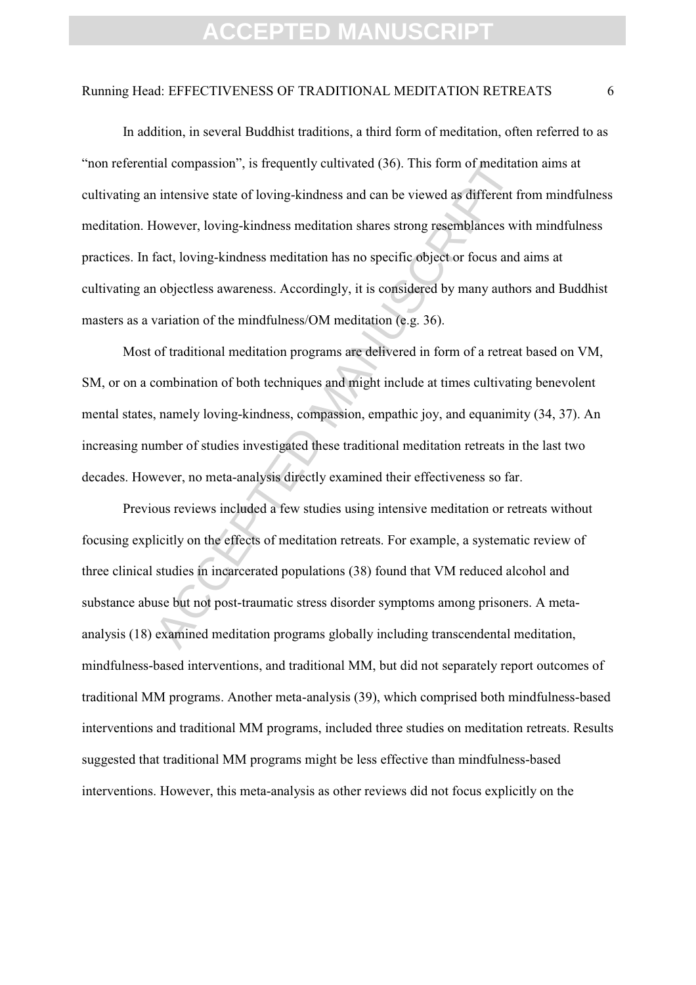#### Running Head: EFFECTIVENESS OF TRADITIONAL MEDITATION RETREATS 6

ial compassion", is frequently cultivated (36). This form of meditative intensive state of loving-kindness and can be viewed as different fi<br>Jowever, loving-kindness meditation shares strong resemblances wi<br>fact, loving-ki In addition, in several Buddhist traditions, a third form of meditation, often referred to as "non referential compassion", is frequently cultivated (36). This form of meditation aims at cultivating an intensive state of loving-kindness and can be viewed as different from mindfulness meditation. However, loving-kindness meditation shares strong resemblances with mindfulness practices. In fact, loving-kindness meditation has no specific object or focus and aims at cultivating an objectless awareness. Accordingly, it is considered by many authors and Buddhist masters as a variation of the mindfulness/OM meditation (e.g. 36).

Most of traditional meditation programs are delivered in form of a retreat based on VM, SM, or on a combination of both techniques and might include at times cultivating benevolent mental states, namely loving-kindness, compassion, empathic joy, and equanimity (34, 37). An increasing number of studies investigated these traditional meditation retreats in the last two decades. However, no meta-analysis directly examined their effectiveness so far.

Previous reviews included a few studies using intensive meditation or retreats without focusing explicitly on the effects of meditation retreats. For example, a systematic review of three clinical studies in incarcerated populations (38) found that VM reduced alcohol and substance abuse but not post-traumatic stress disorder symptoms among prisoners. A metaanalysis (18) examined meditation programs globally including transcendental meditation, mindfulness-based interventions, and traditional MM, but did not separately report outcomes of traditional MM programs. Another meta-analysis (39), which comprised both mindfulness-based interventions and traditional MM programs, included three studies on meditation retreats. Results suggested that traditional MM programs might be less effective than mindfulness-based interventions. However, this meta-analysis as other reviews did not focus explicitly on the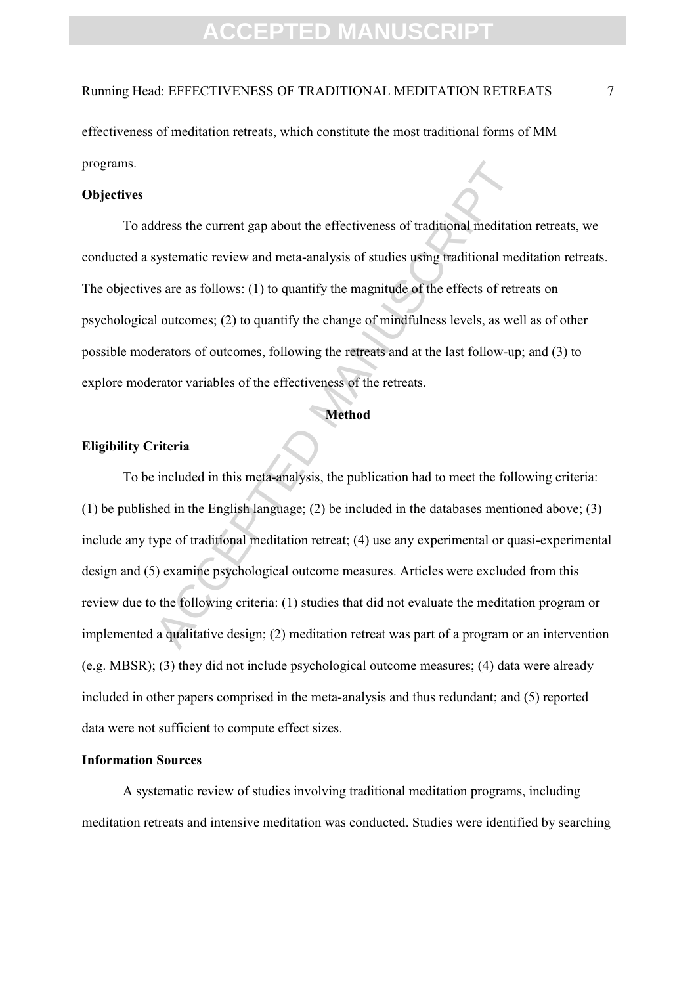Running Head: EFFECTIVENESS OF TRADITIONAL MEDITATION RETREATS 7

effectiveness of meditation retreats, which constitute the most traditional forms of MM programs.

### **Objectives**

To address the current gap about the effectiveness of traditional meditation retreats, we conducted a systematic review and meta-analysis of studies using traditional meditation retreats. The objectives are as follows: (1) to quantify the magnitude of the effects of retreats on psychological outcomes; (2) to quantify the change of mindfulness levels, as well as of other possible moderators of outcomes, following the retreats and at the last follow-up; and (3) to explore moderator variables of the effectiveness of the retreats.

#### **Method**

### **Eligibility Criteria**

Idress the current gap about the effectiveness of traditional meditatic<br>systematic review and meta-analysis of studies using traditional med<br>sa are as follows: (1) to quantify the magnitude of the effects of retre<br>d outcom To be included in this meta-analysis, the publication had to meet the following criteria: (1) be published in the English language; (2) be included in the databases mentioned above; (3) include any type of traditional meditation retreat; (4) use any experimental or quasi-experimental design and (5) examine psychological outcome measures. Articles were excluded from this review due to the following criteria: (1) studies that did not evaluate the meditation program or implemented a qualitative design; (2) meditation retreat was part of a program or an intervention (e.g. MBSR); (3) they did not include psychological outcome measures; (4) data were already included in other papers comprised in the meta-analysis and thus redundant; and (5) reported data were not sufficient to compute effect sizes.

### **Information Sources**

A systematic review of studies involving traditional meditation programs, including meditation retreats and intensive meditation was conducted. Studies were identified by searching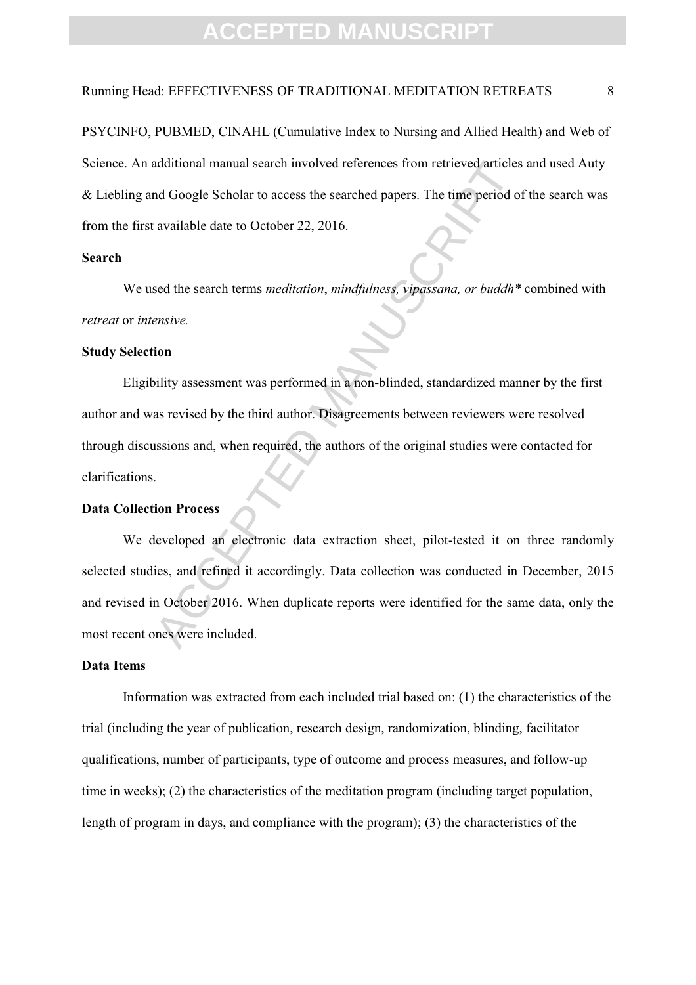### Running Head: EFFECTIVENESS OF TRADITIONAL MEDITATION RETREATS 8

PSYCINFO, PUBMED, CINAHL (Cumulative Index to Nursing and Allied Health) and Web of Science. An additional manual search involved references from retrieved articles and used Auty & Liebling and Google Scholar to access the searched papers. The time period of the search was from the first available date to October 22, 2016.

### **Search**

We used the search terms *meditation*, *mindfulness, vipassana, or buddh\** combined with *retreat* or *intensive.*

#### **Study Selection**

 Eligibility assessment was performed in a non-blinded, standardized manner by the first author and was revised by the third author. Disagreements between reviewers were resolved through discussions and, when required, the authors of the original studies were contacted for clarifications.

#### **Data Collection Process**

additional manual search involved references from retireved articles<br>and Google Scholar to access the searched papers. The time period of<br>available date to October 22, 2016.<br>sed the search terms *meditation*, *mindfulness*  We developed an electronic data extraction sheet, pilot-tested it on three randomly selected studies, and refined it accordingly. Data collection was conducted in December, 2015 and revised in October 2016. When duplicate reports were identified for the same data, only the most recent ones were included.

### **Data Items**

Information was extracted from each included trial based on: (1) the characteristics of the trial (including the year of publication, research design, randomization, blinding, facilitator qualifications, number of participants, type of outcome and process measures, and follow-up time in weeks); (2) the characteristics of the meditation program (including target population, length of program in days, and compliance with the program); (3) the characteristics of the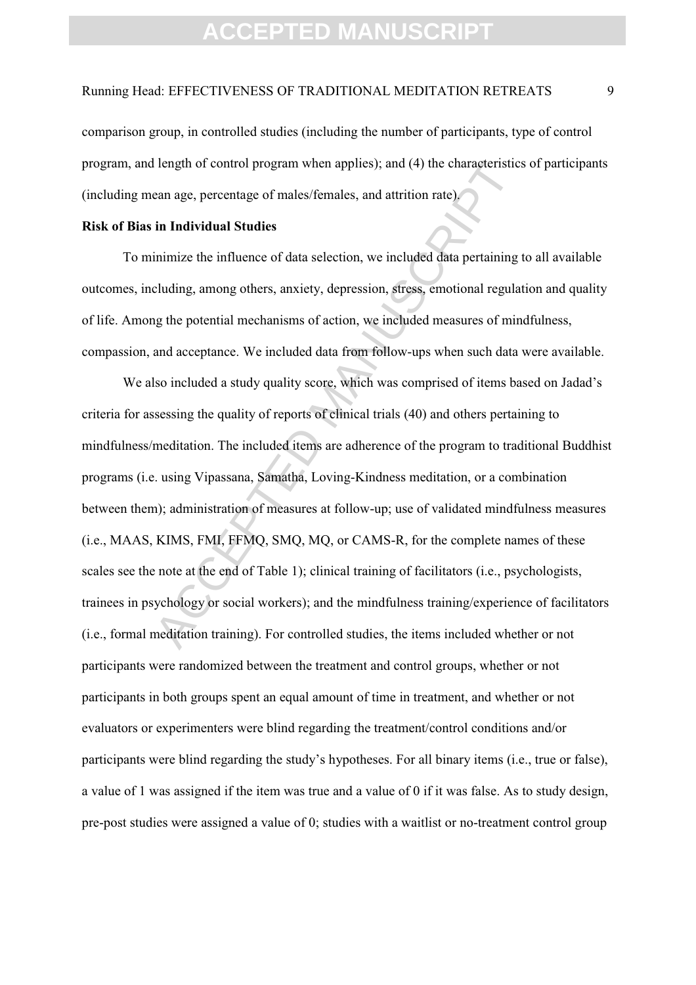### Running Head: EFFECTIVENESS OF TRADITIONAL MEDITATION RETREATS 9

comparison group, in controlled studies (including the number of participants, type of control program, and length of control program when applies); and (4) the characteristics of participants (including mean age, percentage of males/females, and attrition rate).

### **Risk of Bias in Individual Studies**

To minimize the influence of data selection, we included data pertaining to all available outcomes, including, among others, anxiety, depression, stress, emotional regulation and quality of life. Among the potential mechanisms of action, we included measures of mindfulness, compassion, and acceptance. We included data from follow-ups when such data were available.

length of control program when applies); and (4) the characteristics<br>can age, percentage of males/females, and attrition rate).<br> **in Individual Studies**<br>
inimize the influence of data selection, we included data pertaining We also included a study quality score, which was comprised of items based on Jadad's criteria for assessing the quality of reports of clinical trials (40) and others pertaining to mindfulness/meditation. The included items are adherence of the program to traditional Buddhist programs (i.e. using Vipassana, Samatha, Loving-Kindness meditation, or a combination between them); administration of measures at follow-up; use of validated mindfulness measures (i.e., MAAS, KIMS, FMI, FFMQ, SMQ, MQ, or CAMS-R, for the complete names of these scales see the note at the end of Table 1); clinical training of facilitators (i.e., psychologists, trainees in psychology or social workers); and the mindfulness training/experience of facilitators (i.e., formal meditation training). For controlled studies, the items included whether or not participants were randomized between the treatment and control groups, whether or not participants in both groups spent an equal amount of time in treatment, and whether or not evaluators or experimenters were blind regarding the treatment/control conditions and/or participants were blind regarding the study's hypotheses. For all binary items (i.e., true or false), a value of 1 was assigned if the item was true and a value of 0 if it was false. As to study design, pre-post studies were assigned a value of 0; studies with a waitlist or no-treatment control group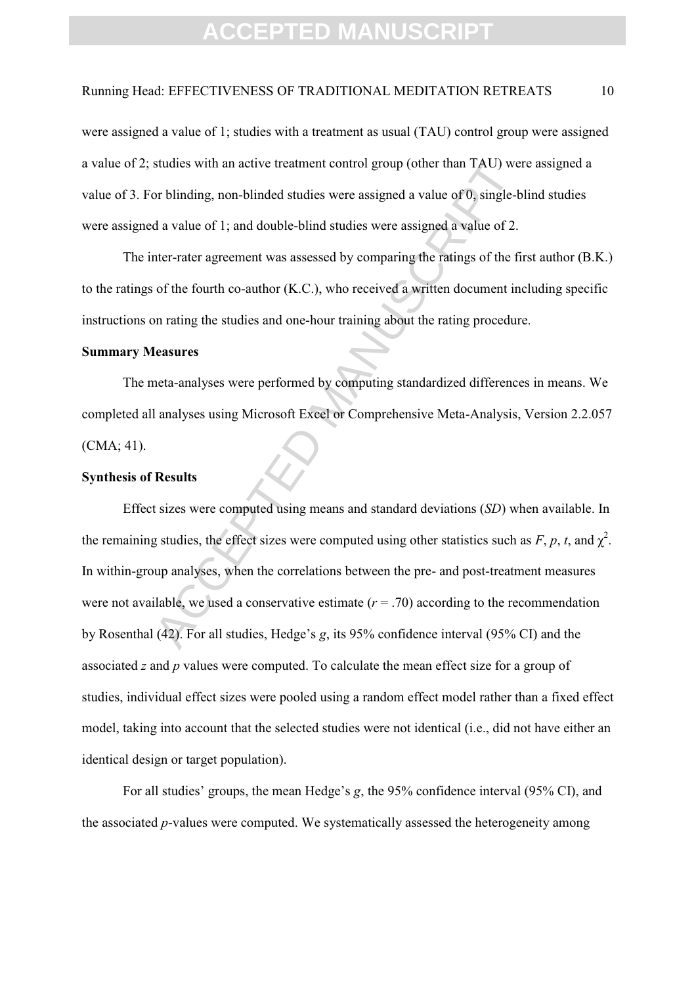### Running Head: EFFECTIVENESS OF TRADITIONAL MEDITATION RETREATS 10

were assigned a value of 1; studies with a treatment as usual (TAU) control group were assigned a value of 2; studies with an active treatment control group (other than TAU) were assigned a value of 3. For blinding, non-blinded studies were assigned a value of 0, single-blind studies were assigned a value of 1; and double-blind studies were assigned a value of 2.

The inter-rater agreement was assessed by comparing the ratings of the first author (B.K.) to the ratings of the fourth co-author (K.C.), who received a written document including specific instructions on rating the studies and one-hour training about the rating procedure.

### **Summary Measures**

The meta-analyses were performed by computing standardized differences in means. We completed all analyses using Microsoft Excel or Comprehensive Meta-Analysis, Version 2.2.057 (CMA; 41).

### **Synthesis of Results**

studies with an active treatment control group (other than TAU) we<br>or blinding, non-blinded studies were assigned a value of 0, single-b<br>d a value of 1; and double-blind studies were assigned a value of 2.<br>ther-rater agre Effect sizes were computed using means and standard deviations (*SD*) when available. In the remaining studies, the effect sizes were computed using other statistics such as  $F$ ,  $p$ ,  $t$ , and  $\chi^2$ . In within-group analyses, when the correlations between the pre- and post-treatment measures were not available, we used a conservative estimate  $(r = .70)$  according to the recommendation by Rosenthal (42). For all studies, Hedge's *g*, its 95% confidence interval (95% CI) and the associated *z* and *p* values were computed. To calculate the mean effect size for a group of studies, individual effect sizes were pooled using a random effect model rather than a fixed effect model, taking into account that the selected studies were not identical (i.e., did not have either an identical design or target population).

For all studies' groups, the mean Hedge's *g*, the 95% confidence interval (95% CI), and the associated *p*-values were computed. We systematically assessed the heterogeneity among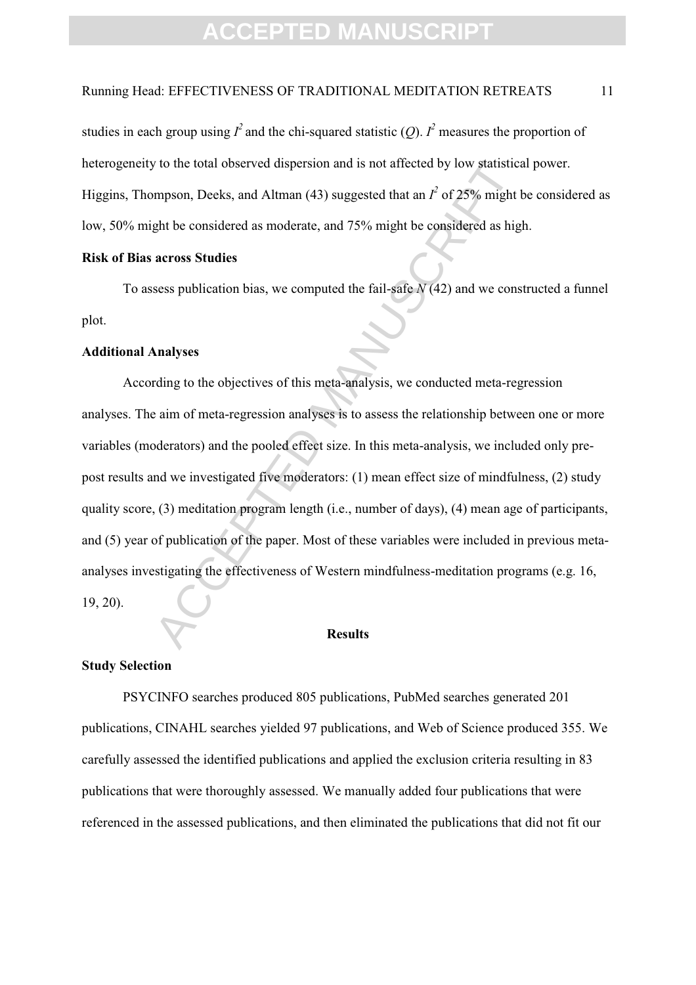### Running Head: EFFECTIVENESS OF TRADITIONAL MEDITATION RETREATS 11

studies in each group using  $I^2$  and the chi-squared statistic  $(Q)$ .  $I^2$  measures the proportion of heterogeneity to the total observed dispersion and is not affected by low statistical power. Higgins, Thompson, Deeks, and Altman (43) suggested that an  $I^2$  of 25% might be considered as low, 50% might be considered as moderate, and 75% might be considered as high.

#### **Risk of Bias across Studies**

To assess publication bias, we computed the fail-safe *N* (42) and we constructed a funnel plot.

#### **Additional Analyses**

to the total observed dispersion and is not affected by low statistics<br>
empson, Deeks, and Altman (43) suggested that an  $I^2$  of 25% might<br>
ght be considered as moderate, and 75% might be considered as hig<br> **across Studi** According to the objectives of this meta-analysis, we conducted meta-regression analyses. The aim of meta-regression analyses is to assess the relationship between one or more variables (moderators) and the pooled effect size. In this meta-analysis, we included only prepost results and we investigated five moderators: (1) mean effect size of mindfulness, (2) study quality score, (3) meditation program length (i.e., number of days), (4) mean age of participants, and (5) year of publication of the paper. Most of these variables were included in previous metaanalyses investigating the effectiveness of Western mindfulness-meditation programs (e.g. 16, 19, 20).

#### **Results**

#### **Study Selection**

PSYCINFO searches produced 805 publications, PubMed searches generated 201 publications, CINAHL searches yielded 97 publications, and Web of Science produced 355. We carefully assessed the identified publications and applied the exclusion criteria resulting in 83 publications that were thoroughly assessed. We manually added four publications that were referenced in the assessed publications, and then eliminated the publications that did not fit our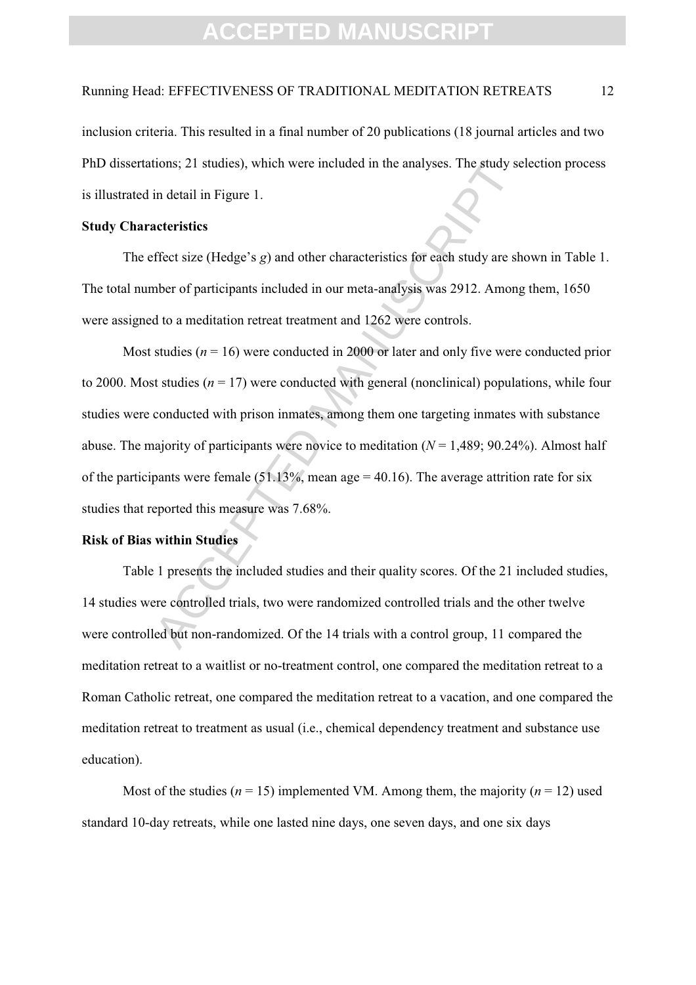### Running Head: EFFECTIVENESS OF TRADITIONAL MEDITATION RETREATS 12

inclusion criteria. This resulted in a final number of 20 publications (18 journal articles and two PhD dissertations; 21 studies), which were included in the analyses. The study selection process is illustrated in detail in Figure 1.

### **Study Characteristics**

The effect size (Hedge's *g*) and other characteristics for each study are shown in Table 1. The total number of participants included in our meta-analysis was 2912. Among them, 1650 were assigned to a meditation retreat treatment and 1262 were controls.

tions; 21 studies), which were included in the analyses. The study se<br>in detail in Figure 1.<br>acteristics<br>ffect size (Hedge's *g*) and other characteristics for each study are sh<br>ber of participants included in our meta-an Most studies ( $n = 16$ ) were conducted in 2000 or later and only five were conducted prior to 2000. Most studies  $(n = 17)$  were conducted with general (nonclinical) populations, while four studies were conducted with prison inmates, among them one targeting inmates with substance abuse. The majority of participants were novice to meditation  $(N = 1,489; 90.24\%)$ . Almost half of the participants were female  $(51.13\%$ , mean age = 40.16). The average attrition rate for six studies that reported this measure was 7.68%.

### **Risk of Bias within Studies**

Table 1 presents the included studies and their quality scores. Of the 21 included studies, 14 studies were controlled trials, two were randomized controlled trials and the other twelve were controlled but non-randomized. Of the 14 trials with a control group, 11 compared the meditation retreat to a waitlist or no-treatment control, one compared the meditation retreat to a Roman Catholic retreat, one compared the meditation retreat to a vacation, and one compared the meditation retreat to treatment as usual (i.e., chemical dependency treatment and substance use education).

Most of the studies ( $n = 15$ ) implemented VM. Among them, the majority ( $n = 12$ ) used standard 10-day retreats, while one lasted nine days, one seven days, and one six days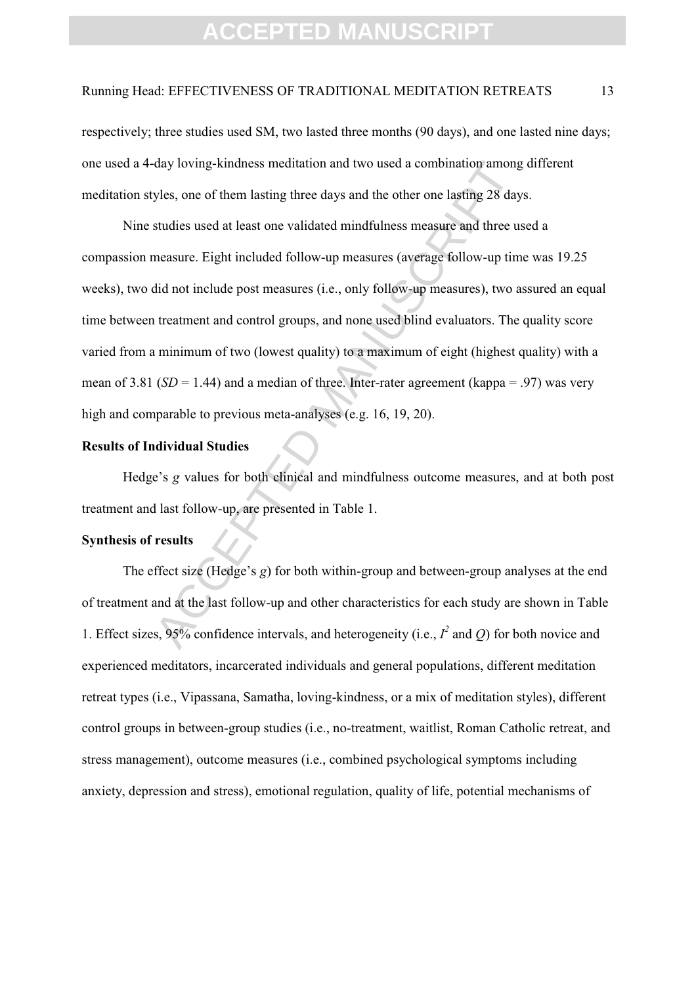#### Running Head: EFFECTIVENESS OF TRADITIONAL MEDITATION RETREATS 13

respectively; three studies used SM, two lasted three months (90 days), and one lasted nine days; one used a 4-day loving-kindness meditation and two used a combination among different meditation styles, one of them lasting three days and the other one lasting 28 days.

day loving-kindness meditation and two used a combination among<br>yles, one of them lasting three days and the other one lasting 28 day<br>studies used at least one validated mindfulness measure and three us<br>measure. Eight inc Nine studies used at least one validated mindfulness measure and three used a compassion measure. Eight included follow-up measures (average follow-up time was 19.25 weeks), two did not include post measures (i.e., only follow-up measures), two assured an equal time between treatment and control groups, and none used blind evaluators. The quality score varied from a minimum of two (lowest quality) to a maximum of eight (highest quality) with a mean of 3.81 ( $SD = 1.44$ ) and a median of three. Inter-rater agreement (kappa = .97) was very high and comparable to previous meta-analyses (e.g. 16, 19, 20).

### **Results of Individual Studies**

Hedge's *g* values for both clinical and mindfulness outcome measures, and at both post treatment and last follow-up, are presented in Table 1.

### **Synthesis of results**

The effect size (Hedge's *g*) for both within-group and between-group analyses at the end of treatment and at the last follow-up and other characteristics for each study are shown in Table 1. Effect sizes, 95% confidence intervals, and heterogeneity (i.e.,  $I^2$  and  $Q$ ) for both novice and experienced meditators, incarcerated individuals and general populations, different meditation retreat types (i.e., Vipassana, Samatha, loving-kindness, or a mix of meditation styles), different control groups in between-group studies (i.e., no-treatment, waitlist, Roman Catholic retreat, and stress management), outcome measures (i.e., combined psychological symptoms including anxiety, depression and stress), emotional regulation, quality of life, potential mechanisms of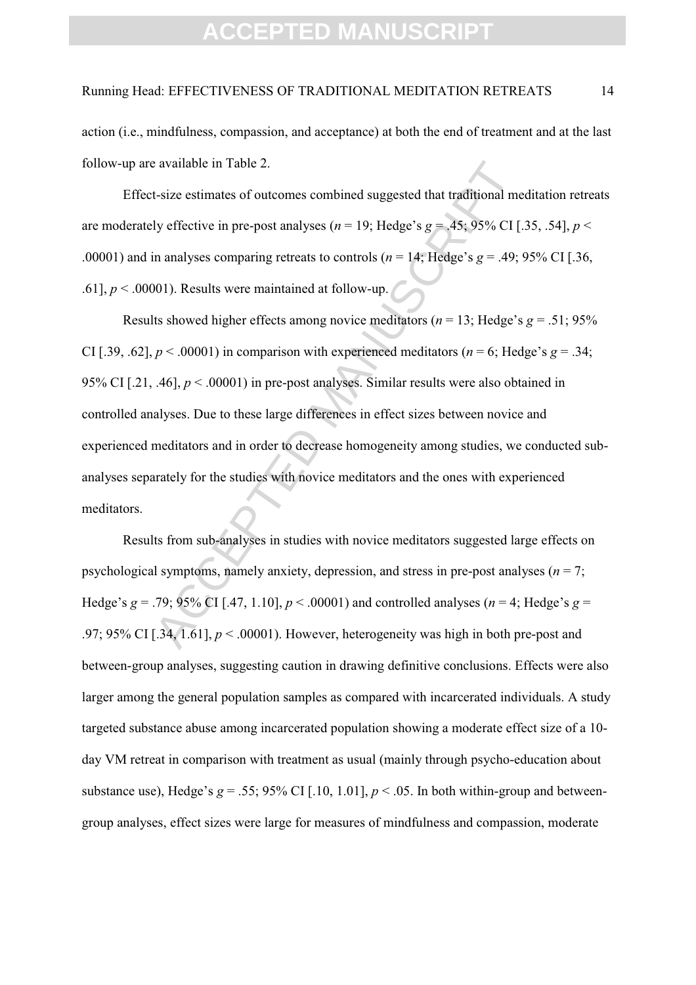### Running Head: EFFECTIVENESS OF TRADITIONAL MEDITATION RETREATS 14

action (i.e., mindfulness, compassion, and acceptance) at both the end of treatment and at the last follow-up are available in Table 2.

Effect-size estimates of outcomes combined suggested that traditional meditation retreats are moderately effective in pre-post analyses ( $n = 19$ ; Hedge's  $g = .45$ ; 95% CI [.35, .54],  $p <$ .00001) and in analyses comparing retreats to controls ( $n = 14$ ; Hedge's  $g = .49$ ; 95% CI [.36, .61],  $p < .00001$ ). Results were maintained at follow-up.

a svaliable in Table 2.<br>
t-size estimates of outcomes combined suggested that traditional mely effective in pre-post analyses ( $n = 19$ ; Hedge's  $g = .45$ ; 95% CI [.<br>
in analyses comparing retreats to controls ( $n = 14$ ; Hedg Results showed higher effects among novice meditators ( $n = 13$ ; Hedge's  $g = .51$ ; 95% CI [.39, .62],  $p < .00001$ ) in comparison with experienced meditators ( $n = 6$ ; Hedge's  $g = .34$ ; 95% CI [.21, .46], *p* < .00001) in pre-post analyses. Similar results were also obtained in controlled analyses. Due to these large differences in effect sizes between novice and experienced meditators and in order to decrease homogeneity among studies, we conducted subanalyses separately for the studies with novice meditators and the ones with experienced meditators.

Results from sub-analyses in studies with novice meditators suggested large effects on psychological symptoms, namely anxiety, depression, and stress in pre-post analyses ( $n = 7$ ; Hedge's *g* = .79; 95% CI [.47, 1.10],  $p < .00001$  and controlled analyses ( $n = 4$ ; Hedge's *g* = .97; 95% CI [.34, 1.61], *p* < .00001). However, heterogeneity was high in both pre-post and between-group analyses, suggesting caution in drawing definitive conclusions. Effects were also larger among the general population samples as compared with incarcerated individuals. A study targeted substance abuse among incarcerated population showing a moderate effect size of a 10 day VM retreat in comparison with treatment as usual (mainly through psycho-education about substance use), Hedge's  $g = .55$ ; 95% CI [.10, 1.01],  $p < .05$ . In both within-group and betweengroup analyses, effect sizes were large for measures of mindfulness and compassion, moderate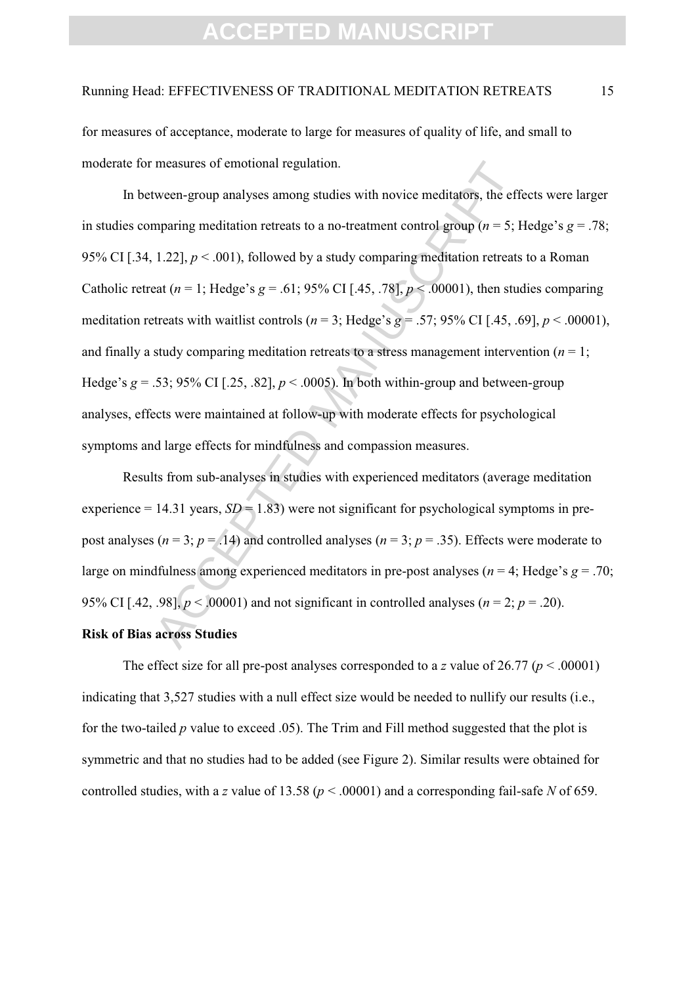#### Running Head: EFFECTIVENESS OF TRADITIONAL MEDITATION RETREATS 15

for measures of acceptance, moderate to large for measures of quality of life, and small to moderate for measures of emotional regulation.

measures of emotional regulation.<br>
tween-group analyses among studies with novice meditators, the eff<br>
mparing meditation retreats to a no-treatment control group ( $n = 5$ ; I<br>
1.22],  $p < .001$ ), followed by a study comparin In between-group analyses among studies with novice meditators, the effects were larger in studies comparing meditation retreats to a no-treatment control group (*n* = 5; Hedge's *g* = .78; 95% CI [.34, 1.22],  $p < .001$ ), followed by a study comparing meditation retreats to a Roman Catholic retreat ( $n = 1$ ; Hedge's  $g = .61$ ; 95% CI [.45, .78],  $p < .00001$ ), then studies comparing meditation retreats with waitlist controls ( $n = 3$ ; Hedge's  $g = .57$ ; 95% CI [.45, .69],  $p < .00001$ ), and finally a study comparing meditation retreats to a stress management intervention ( $n = 1$ ; Hedge's  $g = .53$ ; 95% CI [.25, .82],  $p < .0005$ ). In both within-group and between-group analyses, effects were maintained at follow-up with moderate effects for psychological symptoms and large effects for mindfulness and compassion measures.

Results from sub-analyses in studies with experienced meditators (average meditation experience = 14.31 years,  $SD = 1.83$ ) were not significant for psychological symptoms in prepost analyses ( $n = 3$ ;  $p = .14$ ) and controlled analyses ( $n = 3$ ;  $p = .35$ ). Effects were moderate to large on mindfulness among experienced meditators in pre-post analyses ( $n = 4$ ; Hedge's  $q = .70$ ; 95% CI [.42, .98],  $p < .00001$  and not significant in controlled analyses ( $n = 2$ ;  $p = .20$ ).

### **Risk of Bias across Studies**

The effect size for all pre-post analyses corresponded to a *z* value of 26.77 ( $p < .00001$ ) indicating that 3,527 studies with a null effect size would be needed to nullify our results (i.e., for the two-tailed *p* value to exceed .05). The Trim and Fill method suggested that the plot is symmetric and that no studies had to be added (see Figure 2). Similar results were obtained for controlled studies, with a *z* value of 13.58 (*p* < .00001) and a corresponding fail-safe *N* of 659.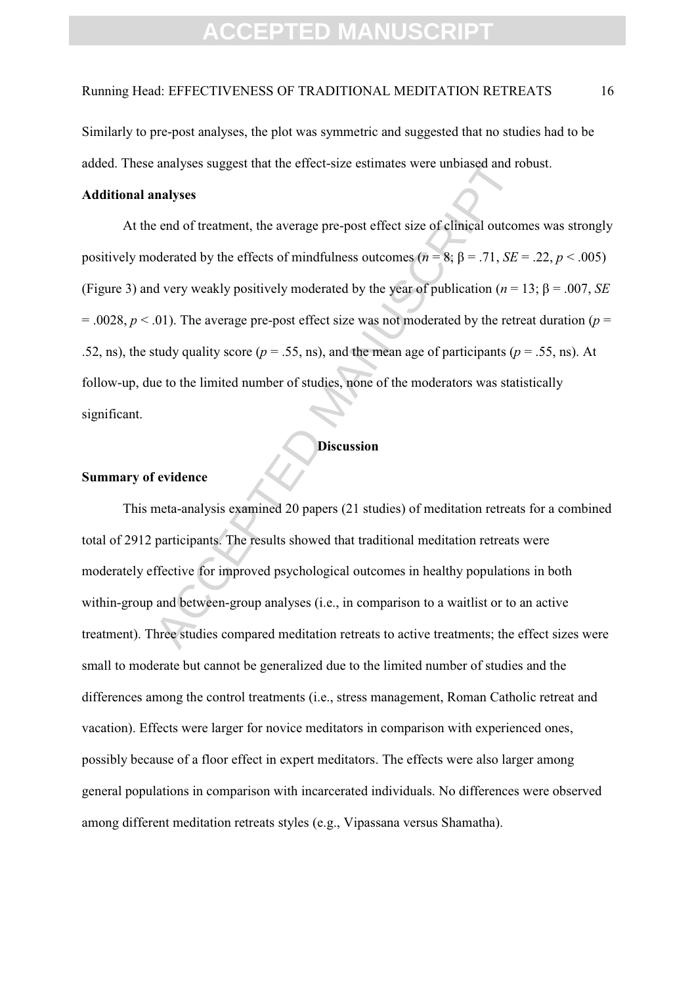### Running Head: EFFECTIVENESS OF TRADITIONAL MEDITATION RETREATS 16

Similarly to pre-post analyses, the plot was symmetric and suggested that no studies had to be added. These analyses suggest that the effect-size estimates were unbiased and robust.

### **Additional analyses**

analyses suggest that the effect-size estimates were unbiased and re<br> **analyses**<br>
e end of treatment, the average pre-post effect size of clinical outcor<br>
oderated by the effects of mindfulness outcomes  $(n = 8; \beta = .71, SE$ <br>
d At the end of treatment, the average pre-post effect size of clinical outcomes was strongly positively moderated by the effects of mindfulness outcomes ( $n = 8$ ;  $\beta = .71$ , *SE* = .22,  $p < .005$ ) (Figure 3) and very weakly positively moderated by the year of publication ( $n = 13$ ;  $\beta = .007$ , *SE*  $= .0028$ ,  $p < .01$ ). The average pre-post effect size was not moderated by the retreat duration ( $p =$ .52, ns), the study quality score ( $p = .55$ , ns), and the mean age of participants ( $p = .55$ , ns). At follow-up, due to the limited number of studies, none of the moderators was statistically significant.

#### **Discussion**

### **Summary of evidence**

This meta-analysis examined 20 papers (21 studies) of meditation retreats for a combined total of 2912 participants. The results showed that traditional meditation retreats were moderately effective for improved psychological outcomes in healthy populations in both within-group and between-group analyses (i.e., in comparison to a waitlist or to an active treatment). Three studies compared meditation retreats to active treatments; the effect sizes were small to moderate but cannot be generalized due to the limited number of studies and the differences among the control treatments (i.e., stress management, Roman Catholic retreat and vacation). Effects were larger for novice meditators in comparison with experienced ones, possibly because of a floor effect in expert meditators. The effects were also larger among general populations in comparison with incarcerated individuals. No differences were observed among different meditation retreats styles (e.g., Vipassana versus Shamatha).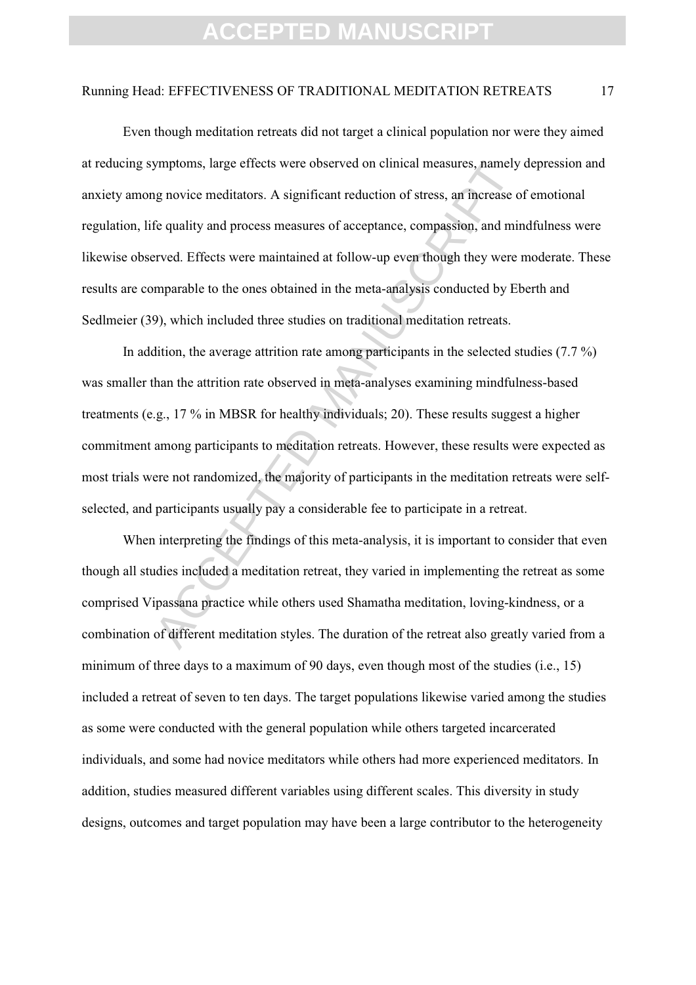#### Running Head: EFFECTIVENESS OF TRADITIONAL MEDITATION RETREATS 17

ymptoms, large effects were observed on clinical measures, namely<br>g novice meditators. A significant reduction of stress, an increase of<br>e quality and process measures of acceptance, compassion, and mir<br>rved. Effects were Even though meditation retreats did not target a clinical population nor were they aimed at reducing symptoms, large effects were observed on clinical measures, namely depression and anxiety among novice meditators. A significant reduction of stress, an increase of emotional regulation, life quality and process measures of acceptance, compassion, and mindfulness were likewise observed. Effects were maintained at follow-up even though they were moderate. These results are comparable to the ones obtained in the meta-analysis conducted by Eberth and Sedlmeier (39), which included three studies on traditional meditation retreats.

In addition, the average attrition rate among participants in the selected studies (7.7 %) was smaller than the attrition rate observed in meta-analyses examining mindfulness-based treatments (e.g., 17 % in MBSR for healthy individuals; 20). These results suggest a higher commitment among participants to meditation retreats. However, these results were expected as most trials were not randomized, the majority of participants in the meditation retreats were selfselected, and participants usually pay a considerable fee to participate in a retreat.

When interpreting the findings of this meta-analysis, it is important to consider that even though all studies included a meditation retreat, they varied in implementing the retreat as some comprised Vipassana practice while others used Shamatha meditation, loving-kindness, or a combination of different meditation styles. The duration of the retreat also greatly varied from a minimum of three days to a maximum of 90 days, even though most of the studies (i.e., 15) included a retreat of seven to ten days. The target populations likewise varied among the studies as some were conducted with the general population while others targeted incarcerated individuals, and some had novice meditators while others had more experienced meditators. In addition, studies measured different variables using different scales. This diversity in study designs, outcomes and target population may have been a large contributor to the heterogeneity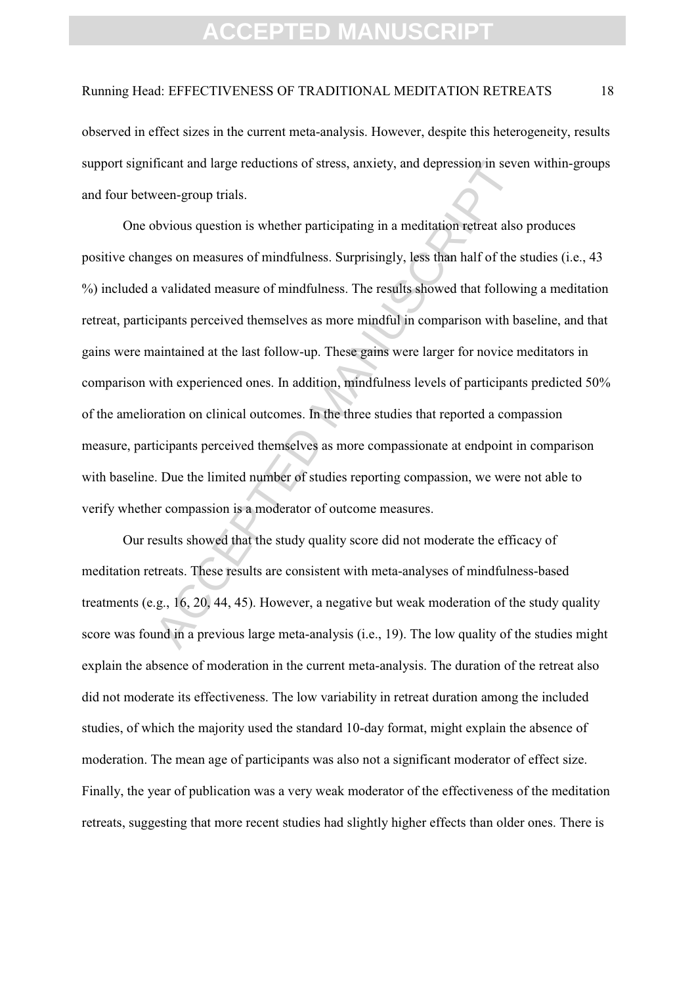### Running Head: EFFECTIVENESS OF TRADITIONAL MEDITATION RETREATS 18

observed in effect sizes in the current meta-analysis. However, despite this heterogeneity, results support significant and large reductions of stress, anxiety, and depression in seven within-groups and four between-group trials.

ficant and large reductions of stress, anxiety, and depression in seve<br>veen-group trials.<br>bbvious question is whether participating in a meditation retreat also<br>boxious question is whether participating in a meditation ret One obvious question is whether participating in a meditation retreat also produces positive changes on measures of mindfulness. Surprisingly, less than half of the studies (i.e., 43 %) included a validated measure of mindfulness. The results showed that following a meditation retreat, participants perceived themselves as more mindful in comparison with baseline, and that gains were maintained at the last follow-up. These gains were larger for novice meditators in comparison with experienced ones. In addition, mindfulness levels of participants predicted 50% of the amelioration on clinical outcomes. In the three studies that reported a compassion measure, participants perceived themselves as more compassionate at endpoint in comparison with baseline. Due the limited number of studies reporting compassion, we were not able to verify whether compassion is a moderator of outcome measures.

Our results showed that the study quality score did not moderate the efficacy of meditation retreats. These results are consistent with meta-analyses of mindfulness-based treatments (e.g., 16, 20, 44, 45). However, a negative but weak moderation of the study quality score was found in a previous large meta-analysis (i.e., 19). The low quality of the studies might explain the absence of moderation in the current meta-analysis. The duration of the retreat also did not moderate its effectiveness. The low variability in retreat duration among the included studies, of which the majority used the standard 10-day format, might explain the absence of moderation. The mean age of participants was also not a significant moderator of effect size. Finally, the year of publication was a very weak moderator of the effectiveness of the meditation retreats, suggesting that more recent studies had slightly higher effects than older ones. There is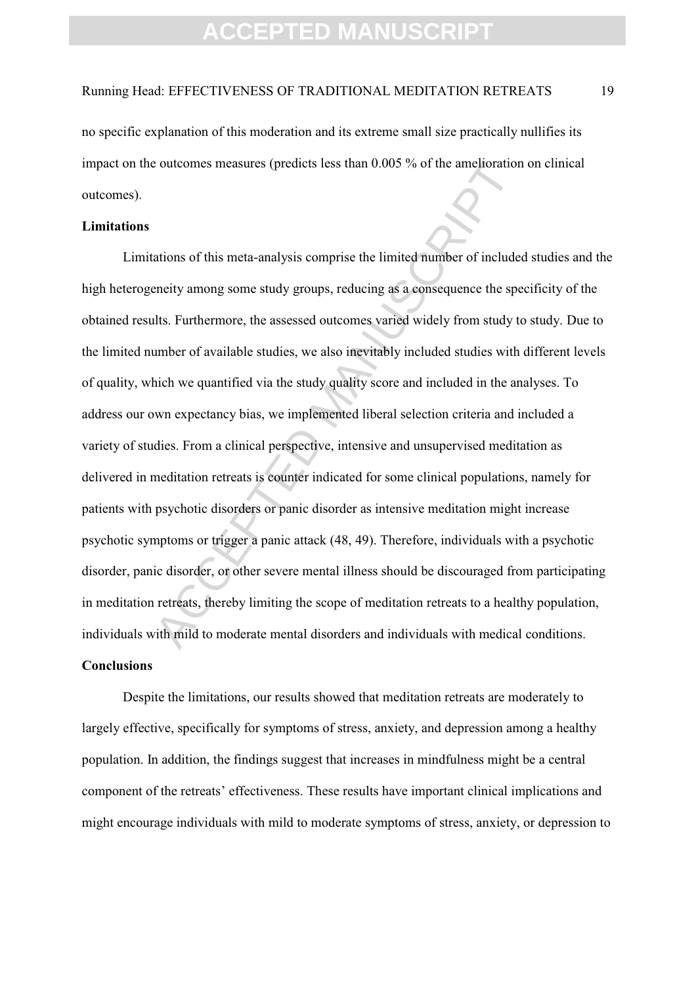#### Running Head: EFFECTIVENESS OF TRADITIONAL MEDITATION RETREATS 19

no specific explanation of this moderation and its extreme small size practically nullifies its impact on the outcomes measures (predicts less than 0.005 % of the amelioration on clinical outcomes).

### **Limitations**

continuous measures (predicts less than 0.005 % of the amelioration<br>ations of this meta-analysis comprise the limited number of include<br>eneity among some study groups, reducing as a consequence the spectrals.<br>Furthermore, Limitations of this meta-analysis comprise the limited number of included studies and the high heterogeneity among some study groups, reducing as a consequence the specificity of the obtained results. Furthermore, the assessed outcomes varied widely from study to study. Due to the limited number of available studies, we also inevitably included studies with different levels of quality, which we quantified via the study quality score and included in the analyses. To address our own expectancy bias, we implemented liberal selection criteria and included a variety of studies. From a clinical perspective, intensive and unsupervised meditation as delivered in meditation retreats is counter indicated for some clinical populations, namely for patients with psychotic disorders or panic disorder as intensive meditation might increase psychotic symptoms or trigger a panic attack (48, 49). Therefore, individuals with a psychotic disorder, panic disorder, or other severe mental illness should be discouraged from participating in meditation retreats, thereby limiting the scope of meditation retreats to a healthy population, individuals with mild to moderate mental disorders and individuals with medical conditions.

### **Conclusions**

Despite the limitations, our results showed that meditation retreats are moderately to largely effective, specifically for symptoms of stress, anxiety, and depression among a healthy population. In addition, the findings suggest that increases in mindfulness might be a central component of the retreats' effectiveness. These results have important clinical implications and might encourage individuals with mild to moderate symptoms of stress, anxiety, or depression to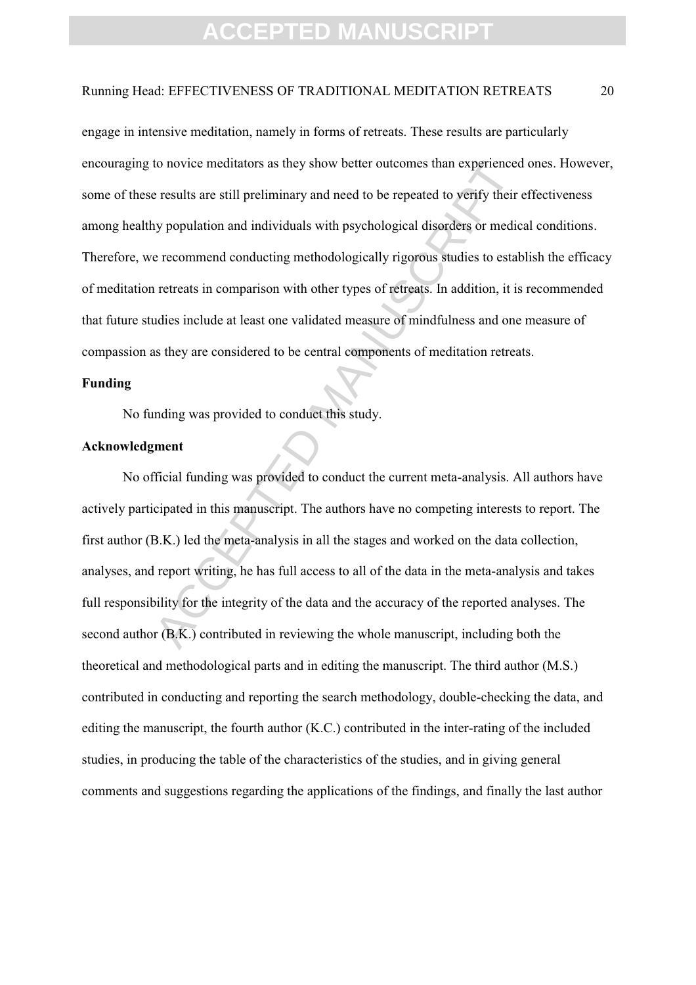### Running Head: EFFECTIVENESS OF TRADITIONAL MEDITATION RETREATS 20

to novice meditators as they show better outcomes than experienced<br>results are still preliminary and need to be repeated to verify their<br>ny population and individuals with psychological disorders or medic<br>recommend conduct engage in intensive meditation, namely in forms of retreats. These results are particularly encouraging to novice meditators as they show better outcomes than experienced ones. However, some of these results are still preliminary and need to be repeated to verify their effectiveness among healthy population and individuals with psychological disorders or medical conditions. Therefore, we recommend conducting methodologically rigorous studies to establish the efficacy of meditation retreats in comparison with other types of retreats. In addition, it is recommended that future studies include at least one validated measure of mindfulness and one measure of compassion as they are considered to be central components of meditation retreats.

#### **Funding**

No funding was provided to conduct this study.

### **Acknowledgment**

No official funding was provided to conduct the current meta-analysis. All authors have actively participated in this manuscript. The authors have no competing interests to report. The first author (B.K.) led the meta-analysis in all the stages and worked on the data collection, analyses, and report writing, he has full access to all of the data in the meta-analysis and takes full responsibility for the integrity of the data and the accuracy of the reported analyses. The second author (B.K.) contributed in reviewing the whole manuscript, including both the theoretical and methodological parts and in editing the manuscript. The third author (M.S.) contributed in conducting and reporting the search methodology, double-checking the data, and editing the manuscript, the fourth author (K.C.) contributed in the inter-rating of the included studies, in producing the table of the characteristics of the studies, and in giving general comments and suggestions regarding the applications of the findings, and finally the last author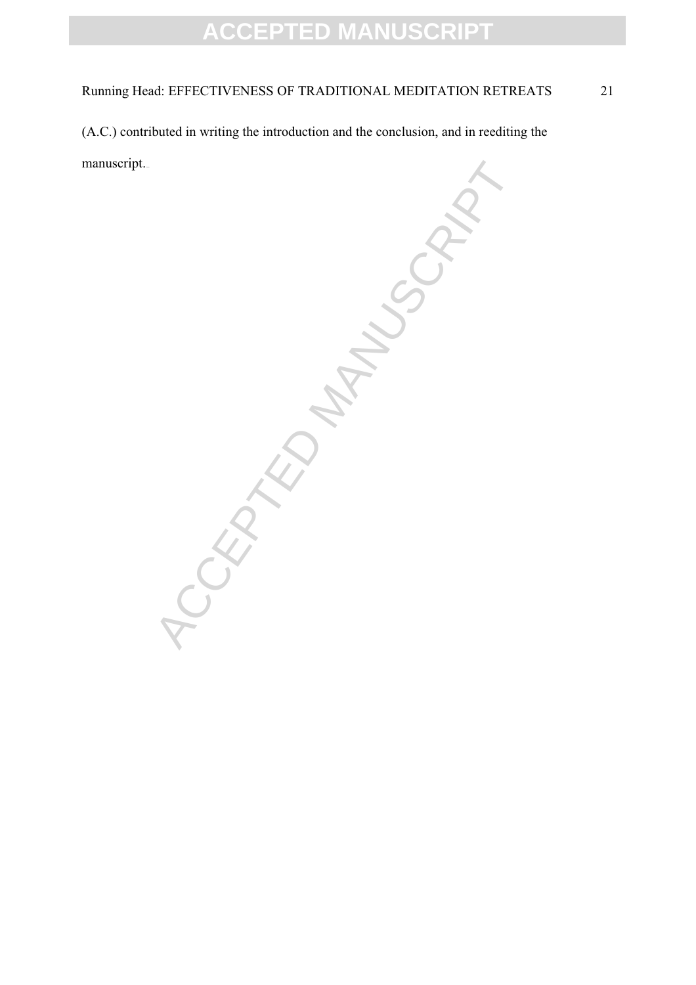### Running Head: EFFECTIVENESS OF TRADITIONAL MEDITATION RETREATS 21

(A.C.) contributed in writing the introduction and the conclusion, and in reediting the manuscript.

ICCEPTED MANUSCRIPT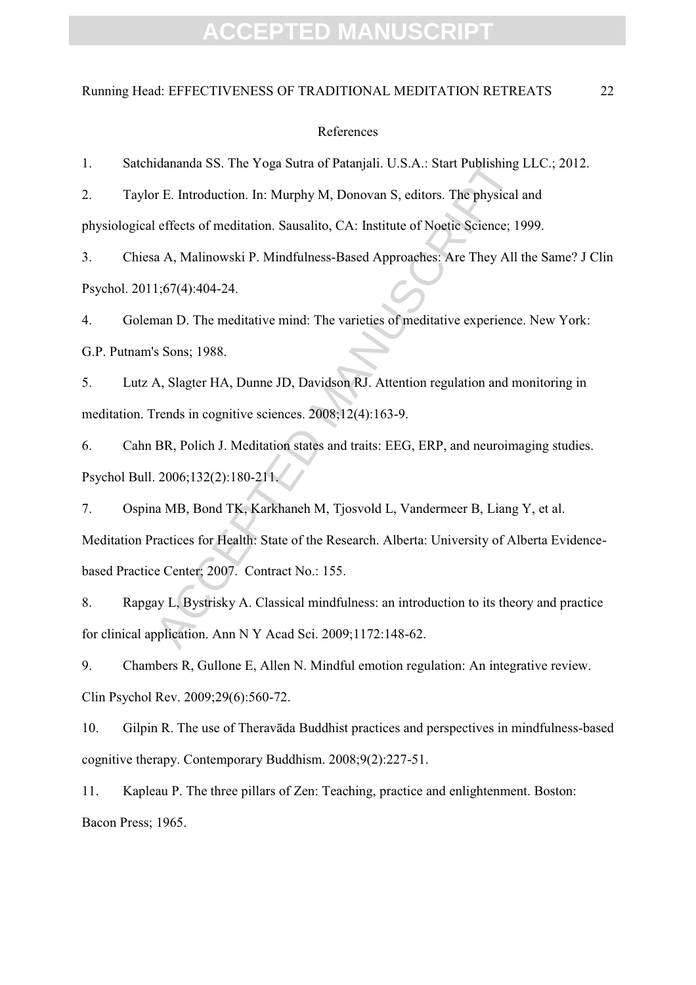### Running Head: EFFECTIVENESS OF TRADITIONAL MEDITATION RETREATS 22

#### References

1. Satchidananda SS. The Yoga Sutra of Patanjali. U.S.A.: Start Publishing LLC.; 2012.

2. Taylor E. Introduction. In: Murphy M, Donovan S, editors. The physical and physiological effects of meditation. Sausalito, CA: Institute of Noetic Science; 1999.

3. Chiesa A, Malinowski P. Mindfulness-Based Approaches: Are They All the Same? J Clin Psychol. 2011;67(4):404-24.

4. Goleman D. The meditative mind: The varieties of meditative experience. New York: G.P. Putnam's Sons; 1988.

5. Lutz A, Slagter HA, Dunne JD, Davidson RJ. Attention regulation and monitoring in meditation. Trends in cognitive sciences. 2008;12(4):163-9.

6. Cahn BR, Polich J. Meditation states and traits: EEG, ERP, and neuroimaging studies. Psychol Bull. 2006;132(2):180-211.

idananda SS. The Yoga Sutra of Patanjali. U.S.A.: Start Publishing<br>
or E. Introduction. In: Murphy M, Donovan S, editors. The physical<br>
effects of meditation. Sausalito, CA: Institute of Noetic Science; 19<br>
a A, Malinowski 7. Ospina MB, Bond TK, Karkhaneh M, Tjosvold L, Vandermeer B, Liang Y, et al. Meditation Practices for Health: State of the Research. Alberta: University of Alberta Evidencebased Practice Center; 2007. Contract No.: 155.

8. Rapgay L, Bystrisky A. Classical mindfulness: an introduction to its theory and practice for clinical application. Ann N Y Acad Sci. 2009;1172:148-62.

9. Chambers R, Gullone E, Allen N. Mindful emotion regulation: An integrative review. Clin Psychol Rev. 2009;29(6):560-72.

10. Gilpin R. The use of Theravāda Buddhist practices and perspectives in mindfulness-based cognitive therapy. Contemporary Buddhism. 2008;9(2):227-51.

11. Kapleau P. The three pillars of Zen: Teaching, practice and enlightenment. Boston: Bacon Press; 1965.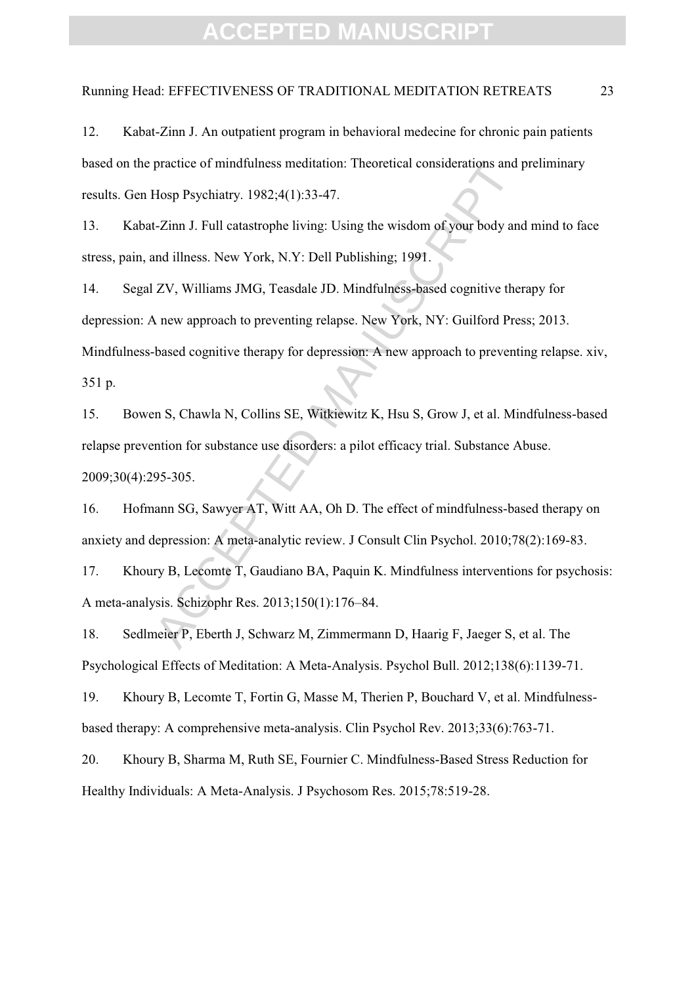#### Running Head: EFFECTIVENESS OF TRADITIONAL MEDITATION RETREATS 23

12. Kabat-Zinn J. An outpatient program in behavioral medecine for chronic pain patients based on the practice of mindfulness meditation: Theoretical considerations and preliminary results. Gen Hosp Psychiatry. 1982;4(1):33-47.

13. Kabat-Zinn J. Full catastrophe living: Using the wisdom of your body and mind to face stress, pain, and illness. New York, N.Y: Dell Publishing; 1991.

practice of mindfulness meditation: Theoretical considerations and j<br>Hosp Psychiatry. 1982;4(1):33-47.<br>L-Zinn J. Full catastrophe living: Using the wisdom of your body and<br>and illness. New York, N.Y: Dell Publishing; 1991. 14. Segal ZV, Williams JMG, Teasdale JD. Mindfulness-based cognitive therapy for depression: A new approach to preventing relapse. New York, NY: Guilford Press; 2013. Mindfulness-based cognitive therapy for depression: A new approach to preventing relapse. xiv, 351 p.

15. Bowen S, Chawla N, Collins SE, Witkiewitz K, Hsu S, Grow J, et al. Mindfulness-based relapse prevention for substance use disorders: a pilot efficacy trial. Substance Abuse. 2009;30(4):295-305.

16. Hofmann SG, Sawyer AT, Witt AA, Oh D. The effect of mindfulness-based therapy on anxiety and depression: A meta-analytic review. J Consult Clin Psychol. 2010;78(2):169-83.

17. Khoury B, Lecomte T, Gaudiano BA, Paquin K. Mindfulness interventions for psychosis: A meta-analysis. Schizophr Res. 2013;150(1):176–84.

18. Sedlmeier P, Eberth J, Schwarz M, Zimmermann D, Haarig F, Jaeger S, et al. The Psychological Effects of Meditation: A Meta-Analysis. Psychol Bull. 2012;138(6):1139-71.

19. Khoury B, Lecomte T, Fortin G, Masse M, Therien P, Bouchard V, et al. Mindfulnessbased therapy: A comprehensive meta-analysis. Clin Psychol Rev. 2013;33(6):763-71.

20. Khoury B, Sharma M, Ruth SE, Fournier C. Mindfulness-Based Stress Reduction for Healthy Individuals: A Meta-Analysis. J Psychosom Res. 2015;78:519-28.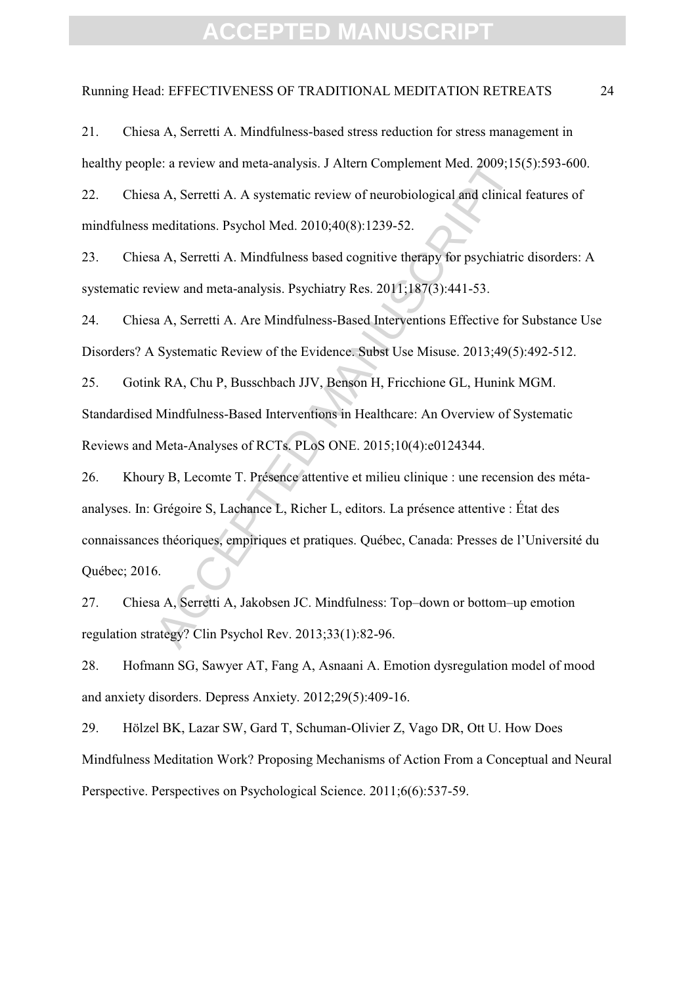#### Running Head: EFFECTIVENESS OF TRADITIONAL MEDITATION RETREATS 24

21. Chiesa A, Serretti A. Mindfulness-based stress reduction for stress management in healthy people: a review and meta-analysis. J Altern Complement Med. 2009;15(5):593-600.

22. Chiesa A, Serretti A. A systematic review of neurobiological and clinical features of mindfulness meditations. Psychol Med. 2010;40(8):1239-52.

23. Chiesa A, Serretti A. Mindfulness based cognitive therapy for psychiatric disorders: A systematic review and meta-analysis. Psychiatry Res. 2011;187(3):441-53.

24. Chiesa A, Serretti A. Are Mindfulness-Based Interventions Effective for Substance Use Disorders? A Systematic Review of the Evidence. Subst Use Misuse. 2013;49(5):492-512.

25. Gotink RA, Chu P, Busschbach JJV, Benson H, Fricchione GL, Hunink MGM. Standardised Mindfulness-Based Interventions in Healthcare: An Overview of Systematic Reviews and Meta-Analyses of RCTs. PLoS ONE. 2015;10(4):e0124344.

le: a review and meta-analysis. J Altern Complement Med. 2009;15<br>a A, Serretti A. A systematic review of neurobiological and clinical<br>meditations. Psychol Med. 2010;40(8):1239-52.<br>a A, Serretti A. Mindfulness based cogniti 26. Khoury B, Lecomte T. Présence attentive et milieu clinique : une recension des métaanalyses. In: Grégoire S, Lachance L, Richer L, editors. La présence attentive : État des connaissances théoriques, empiriques et pratiques. Québec, Canada: Presses de l'Université du Québec; 2016.

27. Chiesa A, Serretti A, Jakobsen JC. Mindfulness: Top–down or bottom–up emotion regulation strategy? Clin Psychol Rev. 2013;33(1):82-96.

28. Hofmann SG, Sawyer AT, Fang A, Asnaani A. Emotion dysregulation model of mood and anxiety disorders. Depress Anxiety. 2012;29(5):409-16.

29. Hölzel BK, Lazar SW, Gard T, Schuman-Olivier Z, Vago DR, Ott U. How Does Mindfulness Meditation Work? Proposing Mechanisms of Action From a Conceptual and Neural Perspective. Perspectives on Psychological Science. 2011;6(6):537-59.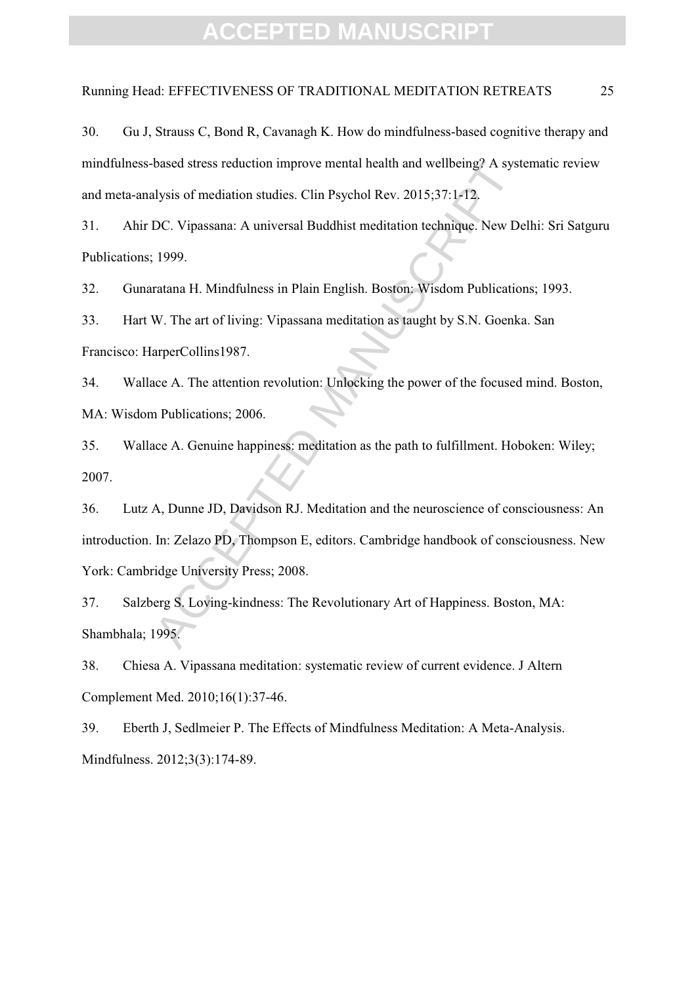#### Running Head: EFFECTIVENESS OF TRADITIONAL MEDITATION RETREATS 25

30. Gu J, Strauss C, Bond R, Cavanagh K. How do mindfulness-based cognitive therapy and mindfulness-based stress reduction improve mental health and wellbeing? A systematic review and meta-analysis of mediation studies. Clin Psychol Rev. 2015;37:1-12.

31. Ahir DC. Vipassana: A universal Buddhist meditation technique. New Delhi: Sri Satguru Publications; 1999.

32. Gunaratana H. Mindfulness in Plain English. Boston: Wisdom Publications; 1993.

33. Hart W. The art of living: Vipassana meditation as taught by S.N. Goenka. San Francisco: HarperCollins1987.

34. Wallace A. The attention revolution: Unlocking the power of the focused mind. Boston, MA: Wisdom Publications; 2006.

35. Wallace A. Genuine happiness: meditation as the path to fulfillment. Hoboken: Wiley; 2007.

based stress reduction improve mental health and wellbeing? A syst<br>ulysis of mediation studies. Clin Psychol Rev. 2015;37:1-12.<br>DC. Vipassana: A universal Buddhist meditation technique. New De<br>1999.<br>Tratana H. Mindfulness 36. Lutz A, Dunne JD, Davidson RJ. Meditation and the neuroscience of consciousness: An introduction. In: Zelazo PD, Thompson E, editors. Cambridge handbook of consciousness. New York: Cambridge University Press; 2008.

37. Salzberg S. Loving-kindness: The Revolutionary Art of Happiness. Boston, MA: Shambhala; 1995.

38. Chiesa A. Vipassana meditation: systematic review of current evidence. J Altern Complement Med. 2010;16(1):37-46.

39. Eberth J, Sedlmeier P. The Effects of Mindfulness Meditation: A Meta-Analysis. Mindfulness. 2012;3(3):174-89.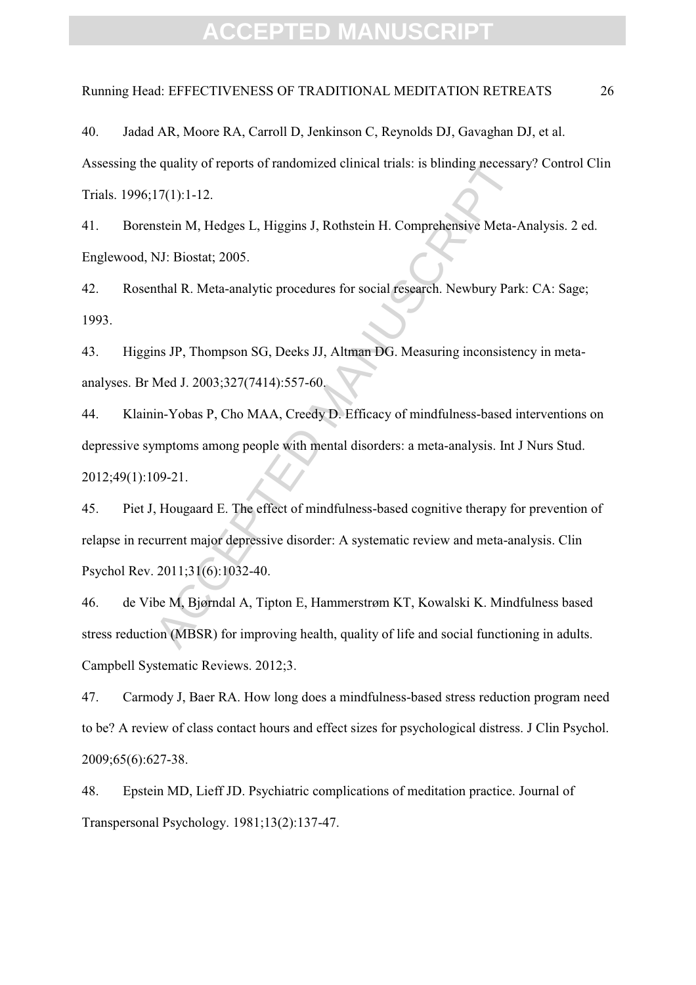### Running Head: EFFECTIVENESS OF TRADITIONAL MEDITATION RETREATS 26

40. Jadad AR, Moore RA, Carroll D, Jenkinson C, Reynolds DJ, Gavaghan DJ, et al. Assessing the quality of reports of randomized clinical trials: is blinding necessary? Control Clin Trials. 1996;17(1):1-12.

41. Borenstein M, Hedges L, Higgins J, Rothstein H. Comprehensive Meta-Analysis. 2 ed. Englewood, NJ: Biostat; 2005.

42. Rosenthal R. Meta-analytic procedures for social research. Newbury Park: CA: Sage; 1993.

43. Higgins JP, Thompson SG, Deeks JJ, Altman DG. Measuring inconsistency in metaanalyses. Br Med J. 2003;327(7414):557-60.

44. Klainin-Yobas P, Cho MAA, Creedy D. Efficacy of mindfulness-based interventions on depressive symptoms among people with mental disorders: a meta-analysis. Int J Nurs Stud. 2012;49(1):109-21.

e quality of reports of randomized clinical trials: is blinding necessarellard (11:1-12.<br>
17(1):1-12.<br>
17(1):1-12.<br>
1810: Higgins J, Rothstein H. Comprehensive Meta-ANJ: Biostat; 2005.<br>
1811: R. Meta-analytic procedures fo 45. Piet J, Hougaard E. The effect of mindfulness-based cognitive therapy for prevention of relapse in recurrent major depressive disorder: A systematic review and meta-analysis. Clin Psychol Rev. 2011;31(6):1032-40.

46. de Vibe M, Bjørndal A, Tipton E, Hammerstrøm KT, Kowalski K. Mindfulness based stress reduction (MBSR) for improving health, quality of life and social functioning in adults. Campbell Systematic Reviews. 2012;3.

47. Carmody J, Baer RA. How long does a mindfulness-based stress reduction program need to be? A review of class contact hours and effect sizes for psychological distress. J Clin Psychol. 2009;65(6):627-38.

48. Epstein MD, Lieff JD. Psychiatric complications of meditation practice. Journal of Transpersonal Psychology. 1981;13(2):137-47.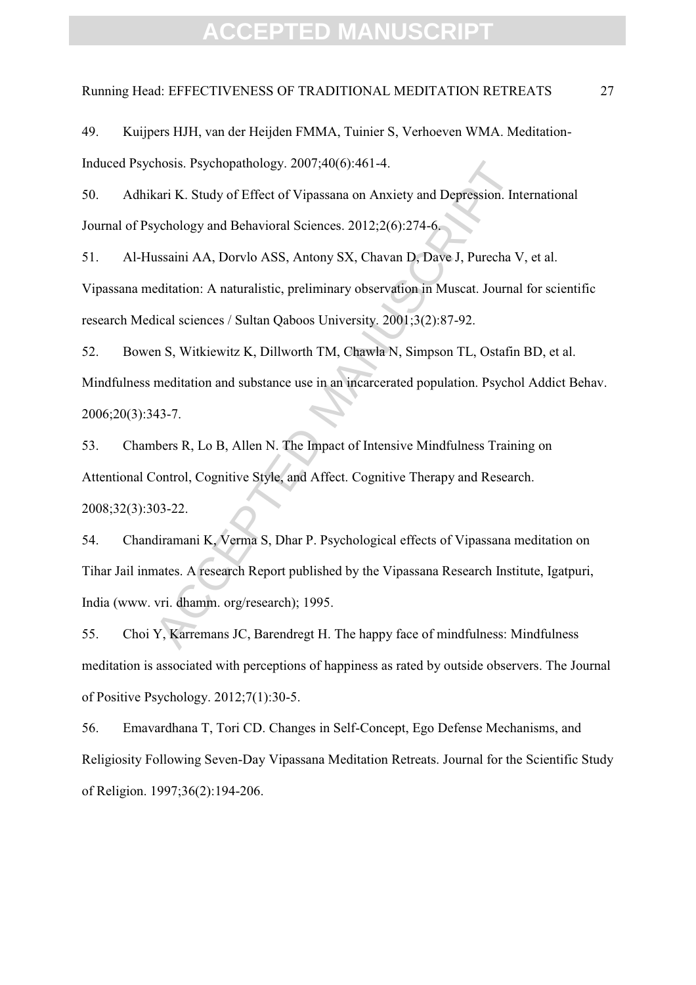#### Running Head: EFFECTIVENESS OF TRADITIONAL MEDITATION RETREATS 27

49. Kuijpers HJH, van der Heijden FMMA, Tuinier S, Verhoeven WMA. Meditation-Induced Psychosis. Psychopathology. 2007;40(6):461-4.

50. Adhikari K. Study of Effect of Vipassana on Anxiety and Depression. International Journal of Psychology and Behavioral Sciences. 2012;2(6):274-6.

51. Al-Hussaini AA, Dorvlo ASS, Antony SX, Chavan D, Dave J, Purecha V, et al. Vipassana meditation: A naturalistic, preliminary observation in Muscat. Journal for scientific research Medical sciences / Sultan Qaboos University. 2001;3(2):87-92.

2007;40(6):461-4.<br>
Kari K. Study of Effect of Vipassana on Anxiety and Depression. Intychology and Behavioral Sciences. 2012;2(6):274-6.<br>
Sussaini AA, Dorvlo ASS, Antony SX, Chavan D, Dave J, Purecha V<br>
editation: A natura 52. Bowen S, Witkiewitz K, Dillworth TM, Chawla N, Simpson TL, Ostafin BD, et al. Mindfulness meditation and substance use in an incarcerated population. Psychol Addict Behav. 2006;20(3):343-7.

53. Chambers R, Lo B, Allen N. The Impact of Intensive Mindfulness Training on Attentional Control, Cognitive Style, and Affect. Cognitive Therapy and Research. 2008;32(3):303-22.

54. Chandiramani K, Verma S, Dhar P. Psychological effects of Vipassana meditation on Tihar Jail inmates. A research Report published by the Vipassana Research Institute, Igatpuri, India (www. vri. dhamm. org/research); 1995.

55. Choi Y, Karremans JC, Barendregt H. The happy face of mindfulness: Mindfulness meditation is associated with perceptions of happiness as rated by outside observers. The Journal of Positive Psychology. 2012;7(1):30-5.

56. Emavardhana T, Tori CD. Changes in Self-Concept, Ego Defense Mechanisms, and Religiosity Following Seven-Day Vipassana Meditation Retreats. Journal for the Scientific Study of Religion. 1997;36(2):194-206.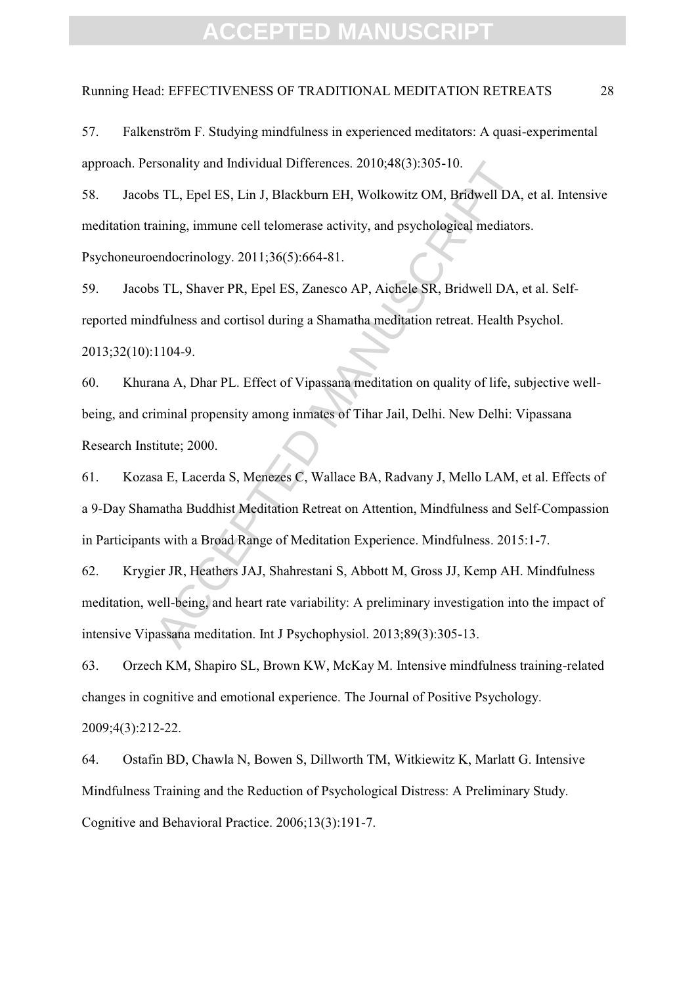### Running Head: EFFECTIVENESS OF TRADITIONAL MEDITATION RETREATS 28

rsonality and Individual Differences. 2010;48(3):305-10.<br>
s TL, Epel ES, Lin J, Blackburn EH, Wolkowitz OM, Bridwell DA,<br>
aining, immune cell telomerase activity, and psychological mediator<br>
endocrinology. 2011;36(5):664-8 58. Jacobs TL, Epel ES, Lin J, Blackburn EH, Wolkowitz OM, Bridwell DA, et al. Intensive meditation training, immune cell telomerase activity, and psychological mediators. Psychoneuroendocrinology. 2011;36(5):664-81.

59. Jacobs TL, Shaver PR, Epel ES, Zanesco AP, Aichele SR, Bridwell DA, et al. Selfreported mindfulness and cortisol during a Shamatha meditation retreat. Health Psychol. 2013;32(10):1104-9.

60. Khurana A, Dhar PL. Effect of Vipassana meditation on quality of life, subjective wellbeing, and criminal propensity among inmates of Tihar Jail, Delhi. New Delhi: Vipassana Research Institute; 2000.

61. Kozasa E, Lacerda S, Menezes C, Wallace BA, Radvany J, Mello LAM, et al. Effects of a 9-Day Shamatha Buddhist Meditation Retreat on Attention, Mindfulness and Self-Compassion in Participants with a Broad Range of Meditation Experience. Mindfulness. 2015:1-7.

62. Krygier JR, Heathers JAJ, Shahrestani S, Abbott M, Gross JJ, Kemp AH. Mindfulness meditation, well-being, and heart rate variability: A preliminary investigation into the impact of intensive Vipassana meditation. Int J Psychophysiol. 2013;89(3):305-13.

63. Orzech KM, Shapiro SL, Brown KW, McKay M. Intensive mindfulness training-related changes in cognitive and emotional experience. The Journal of Positive Psychology. 2009;4(3):212-22.

64. Ostafin BD, Chawla N, Bowen S, Dillworth TM, Witkiewitz K, Marlatt G. Intensive Mindfulness Training and the Reduction of Psychological Distress: A Preliminary Study. Cognitive and Behavioral Practice. 2006;13(3):191-7.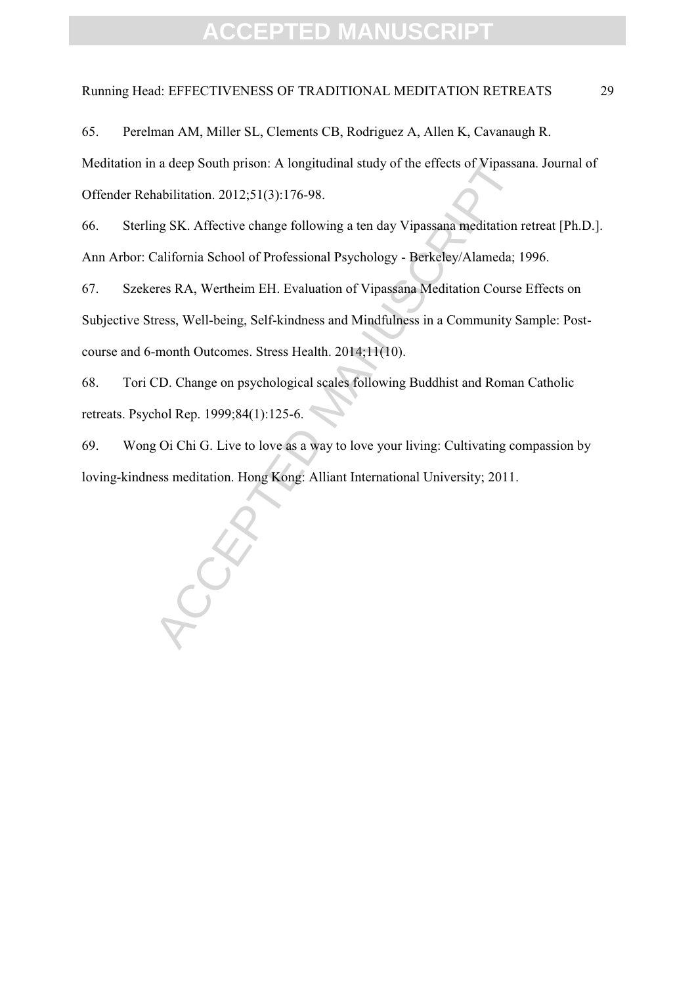### Running Head: EFFECTIVENESS OF TRADITIONAL MEDITATION RETREATS 29

65. Perelman AM, Miller SL, Clements CB, Rodriguez A, Allen K, Cavanaugh R.

Meditation in a deep South prison: A longitudinal study of the effects of Vipassana. Journal of Offender Rehabilitation. 2012;51(3):176-98.

66. Sterling SK. Affective change following a ten day Vipassana meditation retreat [Ph.D.]. Ann Arbor: California School of Professional Psychology - Berkeley/Alameda; 1996.

a a deep South prison: A longitudinal study of the effects of Vipassa<br>
arbilitation. 2012;51(3):176-98.<br>
Ing SK. Affective change following a ten day Vipassana meditation is<br>
California School of Professional Psychology - 67. Szekeres RA, Wertheim EH. Evaluation of Vipassana Meditation Course Effects on Subjective Stress, Well-being, Self-kindness and Mindfulness in a Community Sample: Postcourse and 6-month Outcomes. Stress Health. 2014;11(10).

68. Tori CD. Change on psychological scales following Buddhist and Roman Catholic retreats. Psychol Rep. 1999;84(1):125-6.

69. Wong Oi Chi G. Live to love as a way to love your living: Cultivating compassion by loving-kindness meditation. Hong Kong: Alliant International University; 2011.

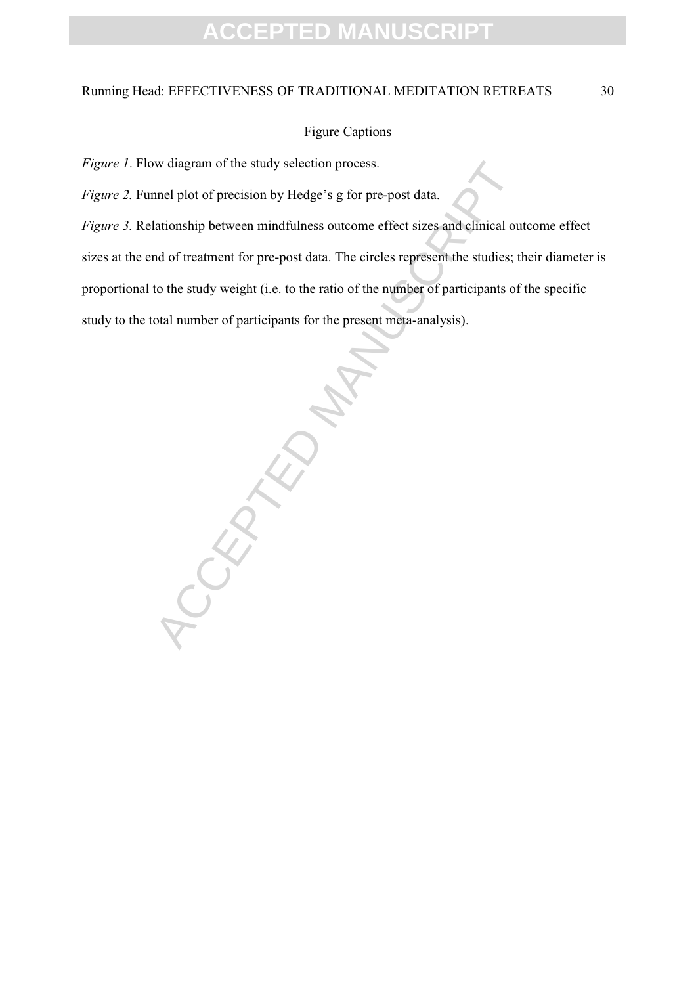### Running Head: EFFECTIVENESS OF TRADITIONAL MEDITATION RETREATS 30

#### Figure Captions

*Figure 1*. Flow diagram of the study selection process.

*Figure 2.* Funnel plot of precision by Hedge's g for pre-post data.

*Figure 3.* Relationship between mindfulness outcome effect sizes and clinical outcome effect sizes at the end of treatment for pre-post data. The circles represent the studies; their diameter is proportional to the study weight (i.e. to the ratio of the number of participants of the specific study to the total number of participants for the present meta-analysis).

CEPTED MANUSCRIPT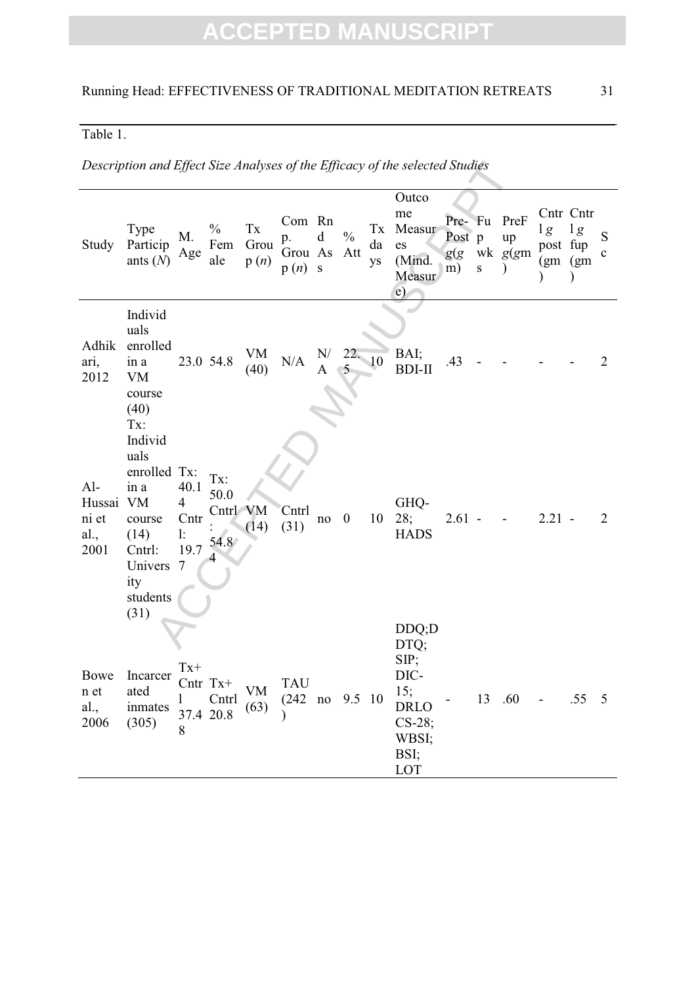### Table 1.

*Description and Effect Size Analyses of the Efficacy of the selected Studies* 

|                                          | Description and Effect Size Analyses of the Efficacy of the selected Studies                                |                                                   |                                  |                                        |                                          |                  |                         |                                    |                                                                                         |                                |           |                       |                          |                                              |                   |
|------------------------------------------|-------------------------------------------------------------------------------------------------------------|---------------------------------------------------|----------------------------------|----------------------------------------|------------------------------------------|------------------|-------------------------|------------------------------------|-----------------------------------------------------------------------------------------|--------------------------------|-----------|-----------------------|--------------------------|----------------------------------------------|-------------------|
| Study                                    | Type<br>Particip<br>ants $(N)$                                                                              | M.<br>Age                                         | $\frac{0}{0}$<br>Fem<br>ale      | $\mathbf{T}\mathbf{x}$<br>Grou<br>p(n) | Com Rn<br>p.<br>Grou As<br>p(n)          | d<br>$\mathbf S$ | $\frac{0}{0}$<br>Att    | $\mathbf{T}\mathbf{x}$<br>da<br>ys | Outco<br>me<br>Measur<br>es<br>(Mind.<br>Measur<br>$\epsilon$                           | Pre- Fu<br>Post p<br>g(g<br>m) | ${\bf S}$ | PreF<br>up<br>wk g(gm | lg<br>post fup           | Cntr Cntr<br>$1\,g$<br>(gm) (gm<br>$\lambda$ | S<br>$\mathbf{C}$ |
| Adhik<br>ari,<br>2012                    | Individ<br>uals<br>enrolled<br>in a<br><b>VM</b><br>course<br>(40)<br>Tx:<br>Individ                        |                                                   | 23.0 54.8                        | VM<br>(40)                             | N/A                                      | ${\bf N} /$<br>A | 22.10<br>$\mathfrak{S}$ |                                    | BAI;<br><b>BDI-II</b>                                                                   | .43                            |           |                       |                          |                                              | $\overline{2}$    |
| $Al-$<br>Hussai<br>ni et<br>al.,<br>2001 | uals<br>enrolled Tx:<br>in a<br><b>VM</b><br>course<br>(14)<br>Cntrl:<br>Univers<br>ity<br>students<br>(31) | 40.1<br>$\overline{4}$<br>Cntr<br>1:<br>19.7<br>7 | Tx:<br>50.0<br>Cntrl VM<br>54.8  | (14)                                   | Cntrl<br>(31)                            | $no$ 0           |                         | 10                                 | GHQ-<br>28;<br><b>HADS</b>                                                              | $2.61 -$                       |           |                       | $2.21 -$                 |                                              | 2                 |
| Bowe<br>n et<br>al.,<br>2006             | Incarcer<br>ated<br>inmates<br>(305)                                                                        | $Tx+$<br>8                                        | $Cntr$ Tx+<br>Cntrl<br>37.4 20.8 | VM<br>(63)                             | TAU<br>$(242 \text{ no } 9.5 \text{ 10}$ |                  |                         |                                    | DDQ;D<br>DTQ;<br>SIP;<br>DIC-<br>15;<br><b>DRLO</b><br>$CS-28;$<br>WBSI;<br>BSI;<br>LOT |                                |           | 13 .60                | $\overline{\phantom{a}}$ | .55                                          | 5                 |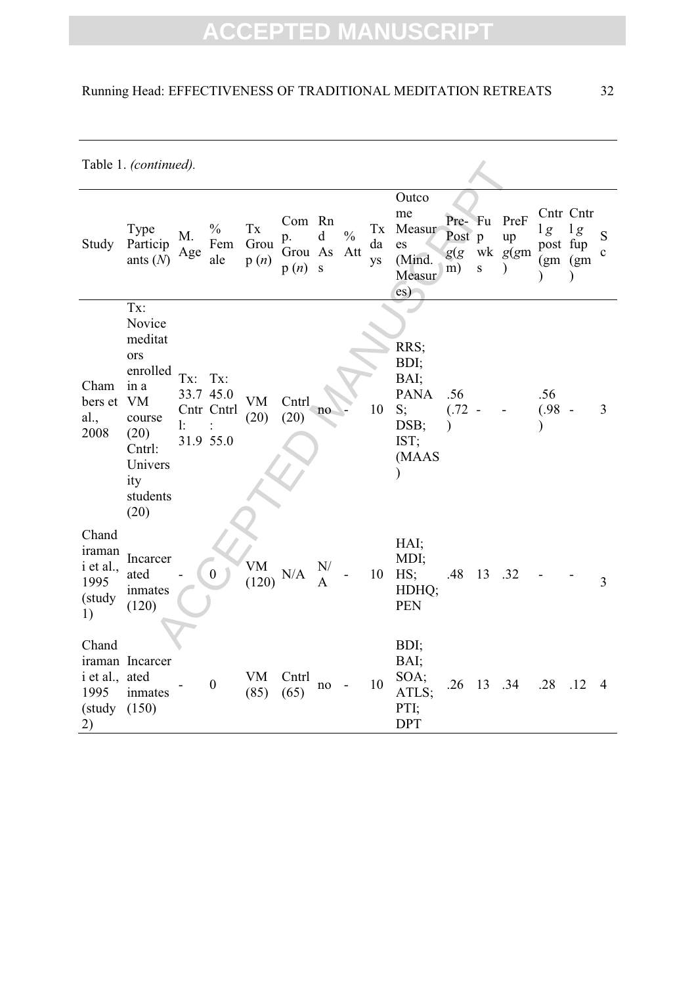### Running Head: EFFECTIVENESS OF TRADITIONAL MEDITATION RETREATS 32

|                                                      | Table 1. (continued).                                                                                                       |           |                                             |                    |                                 |                  |                      |                |                                                                         |                                 |           |                                        |                                         |                      |                  |
|------------------------------------------------------|-----------------------------------------------------------------------------------------------------------------------------|-----------|---------------------------------------------|--------------------|---------------------------------|------------------|----------------------|----------------|-------------------------------------------------------------------------|---------------------------------|-----------|----------------------------------------|-----------------------------------------|----------------------|------------------|
| Study                                                | Type<br>Particip<br>ants $(N)$                                                                                              | M.<br>Age | $\frac{0}{0}$<br>Fem<br>ale                 | Tx<br>Grou<br>p(n) | Com Rn<br>p.<br>Grou As<br>p(n) | d<br>$\mathbf S$ | $\frac{0}{0}$<br>Att | Tx<br>da<br>ys | Outco<br>me<br>Measur<br>es<br>(Mind.<br>Measur<br>$\operatorname{es}$  | Pre- Fu<br>Post p<br>g(g)<br>m) | ${\bf S}$ | PreF<br>up<br>wk g(gm<br>$\mathcal{E}$ | lg<br>post fup<br>(gm)(gm)<br>$\lambda$ | Cntr Cntr<br>lg<br>⟩ | S<br>$\mathbf c$ |
| Cham<br>bers et<br>al.,<br>2008                      | Tx:<br>Novice<br>meditat<br>ors<br>enrolled<br>in a<br>VM<br>course<br>(20)<br>Cntrl:<br>Univers<br>ity<br>students<br>(20) | Tx:<br>l: | Tx:<br>33.7 45.0<br>Cntr Cntrl<br>31.9 55.0 | <b>VM</b><br>(20)  | Cntrl<br>(20)                   | no               |                      | 10             | RRS;<br>BDI;<br>BAI;<br><b>PANA</b><br>S;<br>DSB;<br>IST;<br>(MAAS<br>⟩ | .56<br>(.72)<br>$\mathcal{E}$   |           |                                        | .56<br>(.98)                            |                      | 3                |
| Chand<br>iraman<br>i et al.,<br>1995<br>(study<br>1) | Incarcer<br>ated<br>inmates<br>(120)                                                                                        |           | $\boldsymbol{0}$                            | <b>VM</b><br>(120) | N/A                             | N/               |                      | 10             | HAI;<br>MDI;<br>HS;<br>HDHQ;<br><b>PEN</b>                              | .48                             | 13 .32    |                                        |                                         |                      | 3                |
| Chand<br>i et al., ated<br>1995<br>(study<br>2)      | iraman Incarcer<br>inmates<br>(150)                                                                                         |           | $\boldsymbol{0}$                            | VM<br>(85)         | Cntrl<br>(65)                   | no               |                      | 10             | BDI;<br>BAI;<br>SOA;<br>ATLS;<br>PTI;<br><b>DPT</b>                     | .26                             | 13 .34    |                                        | .28                                     | .12                  | 4                |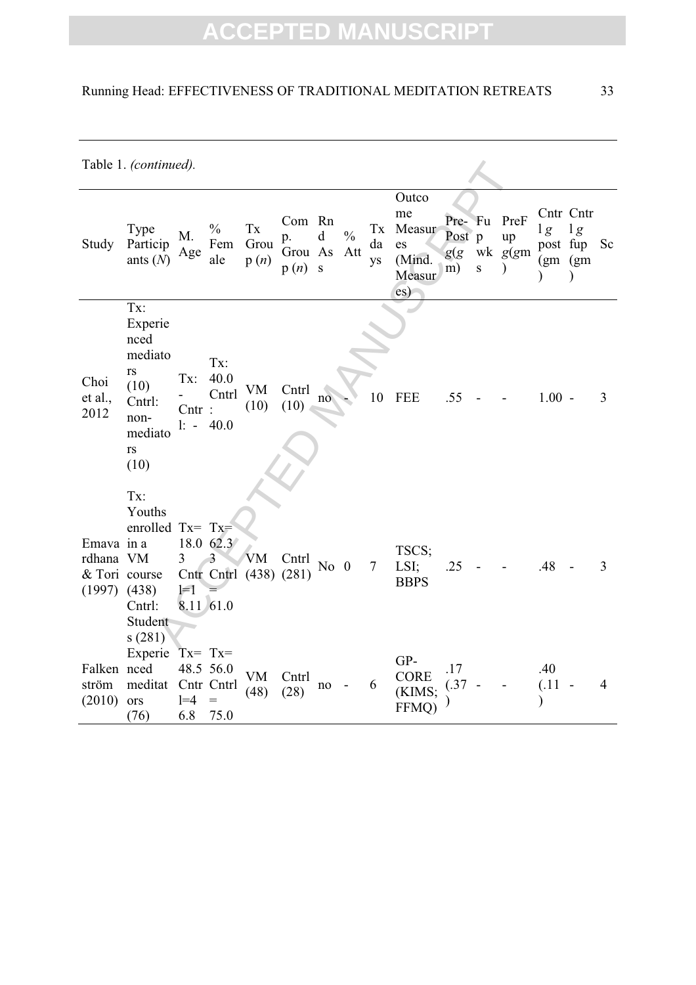### Running Head: EFFECTIVENESS OF TRADITIONAL MEDITATION RETREATS 33

|                                                              | Table 1. (continued).                                                                      |                               |                                        |                                        |                                 |                  |                      |                |                                                                        |                                 |             |                                       |                                 |                                              |               |
|--------------------------------------------------------------|--------------------------------------------------------------------------------------------|-------------------------------|----------------------------------------|----------------------------------------|---------------------------------|------------------|----------------------|----------------|------------------------------------------------------------------------|---------------------------------|-------------|---------------------------------------|---------------------------------|----------------------------------------------|---------------|
| Study                                                        | Type<br>Particip<br>ants $(N)$                                                             | M.<br>Age                     | $\frac{0}{0}$<br>Fem<br>ale            | $\mathbf{T}\mathbf{x}$<br>Grou<br>p(n) | Com Rn<br>p.<br>Grou As<br>p(n) | $\mathbf d$<br>S | $\frac{0}{0}$<br>Att | Tx<br>da<br>ys | Outco<br>me<br>Measur<br>es<br>(Mind.<br>Measur<br>$\operatorname{es}$ | Pre- Fu<br>Post p<br>g(g)<br>m) | $\mathbf S$ | PreF<br>up<br>wk $g(gm)$<br>$\lambda$ | lg<br>(gm)(gm)<br>$\mathcal{E}$ | Cntr Cntr<br>1g<br>post fup<br>$\mathcal{E}$ | <sub>Sc</sub> |
| Choi<br>et al.,<br>2012                                      | Tx:<br>Experie<br>nced<br>mediato<br>rs<br>(10)<br>Cntrl:<br>non-<br>mediato<br>rs<br>(10) | Tx:<br>$Cntr$ :<br>$1: -$     | Tx:<br>40.0<br>Cntrl<br>40.0           | VM<br>(10)                             | Cntrl<br>(10)                   | no               |                      | 10             | <b>FEE</b>                                                             | .55                             |             |                                       | $1.00 -$                        |                                              | 3             |
| Emava in a<br>rdhana VM<br>& Tori course<br>$(1997)$ $(438)$ | Tx:<br>Youths<br>enrolled Tx= Tx=<br>Cntrl:<br>Student<br>s(281)                           | 3<br>$\equiv$ 1<br>8.11 61.0  | 18.0 62.3<br>3                         | VM<br>Cntr Cntrl (438) (281)           | Cntrl                           | No $0$           |                      | $\overline{7}$ | TSCS;<br>LSI;<br><b>BBPS</b>                                           | .25                             |             |                                       | .48                             |                                              | 3             |
| Falken nced<br>ström<br>(2010)                               | Experie<br>meditat<br>ors<br>(76)                                                          | $Tx = Tx =$<br>$1 = 4$<br>6.8 | 48.5 56.0<br>Cntr Cntrl<br>$=$<br>75.0 | <b>VM</b><br>(48)                      | Cntrl<br>(28)                   | no               |                      | 6              | GP-<br><b>CORE</b><br>(KIMS:<br>FFMQ)                                  | .17<br>(.37)                    |             |                                       | .40<br>(.11)<br>⟩               |                                              | 4             |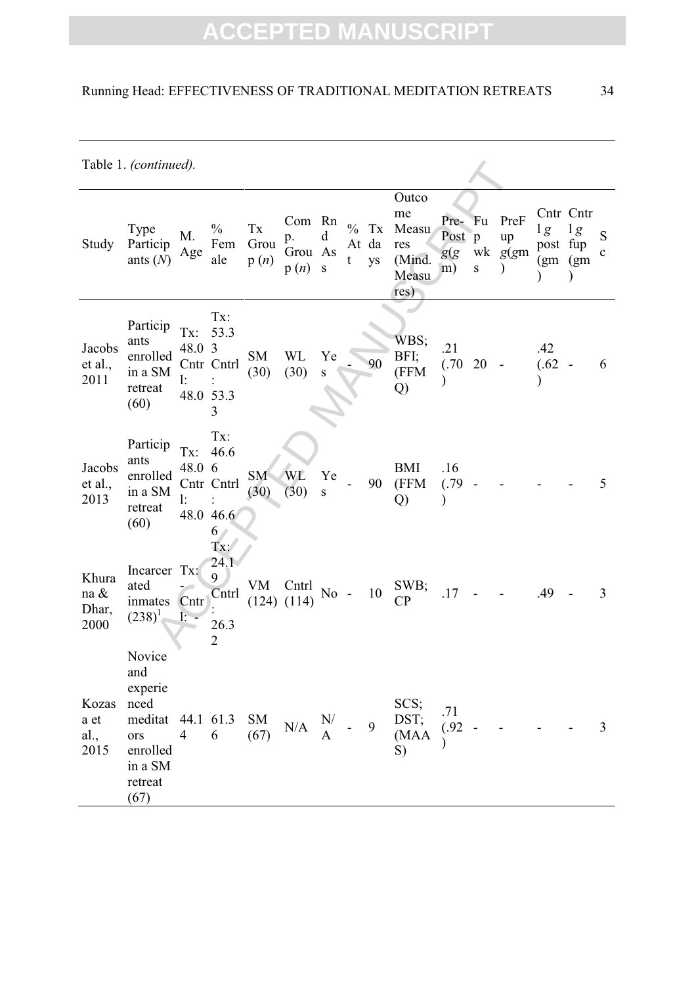### Running Head: EFFECTIVENESS OF TRADITIONAL MEDITATION RETREATS 34

Table 1. *(continued).*

|                                   | Table 1. (continued).                                                                        |                                  |                                                               |                                        |                                 |                                          |                    |                   |                                                        |                            |                                 |                          |                                     |                                                       |                   |
|-----------------------------------|----------------------------------------------------------------------------------------------|----------------------------------|---------------------------------------------------------------|----------------------------------------|---------------------------------|------------------------------------------|--------------------|-------------------|--------------------------------------------------------|----------------------------|---------------------------------|--------------------------|-------------------------------------|-------------------------------------------------------|-------------------|
| Study                             | Type<br>Particip<br>ants $(N)$                                                               | M.<br>Age                        | $\frac{0}{0}$<br>Fem<br>ale                                   | $\mathbf{T}\mathbf{x}$<br>Grou<br>p(n) | Com Rn<br>p.<br>Grou As<br>p(n) | d<br>${\bf S}$                           | $\frac{0}{0}$<br>t | Tx<br>At da<br>ys | Outco<br>me<br>Measu<br>res<br>(Mind.<br>Measu<br>res) | Pre-<br>Post<br>g(g)<br>m) | Fu<br>$\mathbf{p}$<br>${\bf S}$ | PreF<br>up<br>wk $g(gm)$ | 1g<br>post fup<br>(g <sub>m</sub> ) | Cntr Cntr<br>1g<br>(g <sub>m</sub> )<br>$\mathcal{E}$ | S<br>$\mathbf{C}$ |
| Jacobs<br>et al.,<br>2011         | Particip<br>ants<br>enrolled<br>in a SM<br>retreat<br>(60)                                   | Tx:<br>48.0 3<br>l:<br>48.0 53.3 | Tx:<br>53.3<br>Cntr Cntrl<br>3                                | <b>SM</b><br>(30)                      | WL<br>(30)                      | Ye<br>${\bf S}$                          |                    | 90                | WBS;<br>BFI;<br>(FFM<br>Q)                             | .21<br>(.70)               | 20                              |                          | .42<br>(.62)                        |                                                       | 6                 |
| Jacobs<br>et al.,<br>2013         | Particip<br>ants<br>enrolled<br>in a SM<br>retreat<br>(60)                                   | Tx:<br>48.0<br>$\mathbf{1:}$     | Tx:<br>46.6<br>6<br>Cntr Cntrl<br>48.0 46.6<br>6 <sub>1</sub> | <b>SM</b><br>(30)                      | WL<br>(30)                      | Ye<br>${\bf S}$                          |                    | 90                | <b>BMI</b><br>(FFM<br>Q)                               | .16<br>(.79)<br>$\lambda$  |                                 |                          |                                     |                                                       | 5                 |
| Khura<br>na $\&$<br>Dhar,<br>2000 | Incarcer Tx:<br>ated<br>inmates<br>$(238)^{1}$<br>Novice                                     | Cntr<br>$\mathbf{r}$             | Tx:<br>24.1<br>9<br>Cntrl<br>26.3<br>$\overline{2}$           | VM                                     | Cntrl<br>$(124)$ $(114)$        | $No -$                                   |                    | 10                | SWB;<br>CP                                             | .17                        |                                 |                          | .49                                 |                                                       | 3                 |
| Kozas<br>a et<br>al.,<br>2015     | and<br>experie<br>nced<br>meditat 44.1 61.3<br>ors<br>enrolled<br>in a SM<br>retreat<br>(67) | $\overline{4}$                   | 6                                                             | SM<br>(67)                             | N/A                             | $\begin{array}{cc} N/\\ A \end{array}$ - |                    | 9                 | SCS;<br>DST;<br>(MAA<br>S)                             | .71<br>(.92)               |                                 |                          |                                     |                                                       | $\mathfrak{Z}$    |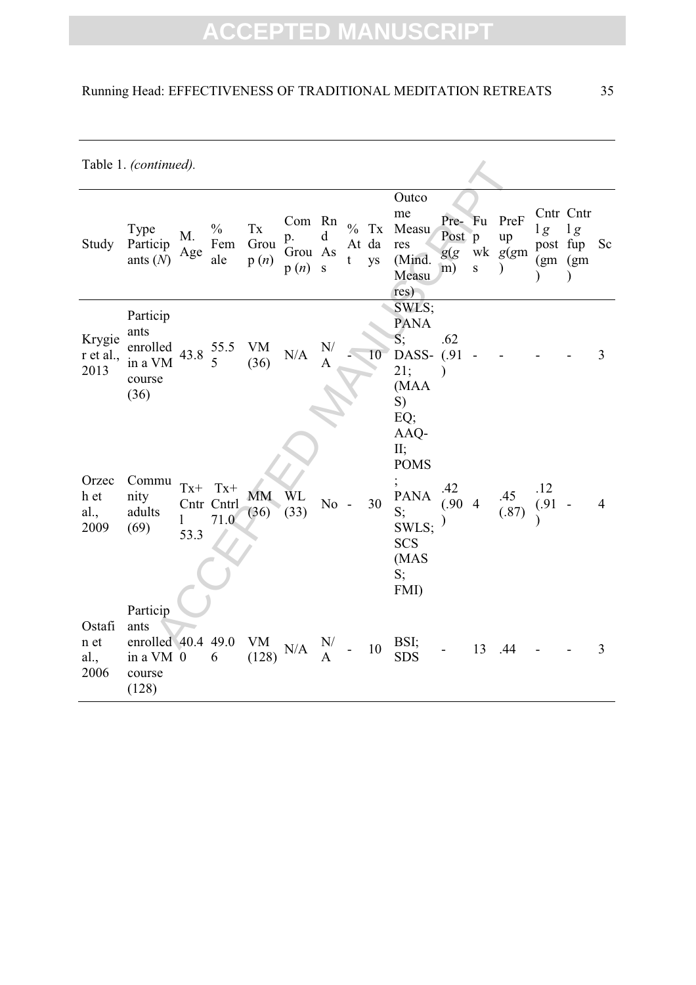### Running Head: EFFECTIVENESS OF TRADITIONAL MEDITATION RETREATS 35

|                                | Table 1. (continued).                                                    |                    |                             |                                        |                                 |                |   |                        |                                                                                                      |                                 |                |                                       |                            |                                  |                |
|--------------------------------|--------------------------------------------------------------------------|--------------------|-----------------------------|----------------------------------------|---------------------------------|----------------|---|------------------------|------------------------------------------------------------------------------------------------------|---------------------------------|----------------|---------------------------------------|----------------------------|----------------------------------|----------------|
| Study                          | <b>Type</b><br>Particip<br>ants $(N)$                                    | M.<br>Age          | $\frac{0}{0}$<br>Fem<br>ale | $\mathbf{T}\mathbf{x}$<br>Grou<br>p(n) | Com Rn<br>p.<br>Grou As<br>p(n) | d<br>${\bf S}$ | t | $\%$ Tx<br>At da<br>ys | Outco<br>me<br>Measu<br>res<br>(Mind.<br>Measu<br>res)                                               | Pre- Fu<br>Post p<br>g(g)<br>m) | ${\bf S}$      | PreF<br>up<br>wk $g(gm)$<br>$\lambda$ | lg<br>post fup<br>(gm)(gm) | Cntr Cntr<br>1g<br>$\mathcal{E}$ | Sc             |
| Krygie<br>r et al.,<br>2013    | Particip<br>ants<br>enrolled<br>in a VM<br>course<br>(36)                |                    | 43.8 $\frac{55.5}{5}$<br>5  | VM<br>(36)                             | N/A                             | N/<br>A        |   | 10                     | SWLS;<br><b>PANA</b><br>S;<br>DASS- (.91<br>21;<br>(MAA<br>S)<br>EQ;<br>AAQ-                         | .62                             |                |                                       |                            |                                  | 3              |
| Orzec<br>h et<br>al.,<br>2009  | Commu<br>nity<br>adults<br>(69)                                          | $Tx+$<br>1<br>53.3 | $Tx+$<br>Cntr Cntrl<br>71.0 | <b>MM</b><br>(36)                      | <b>WL</b><br>(33)               | $No -$         |   | 30                     | $II$ ;<br><b>POMS</b><br>$\bullet$<br><b>PANA</b><br>S;<br>SWLS;<br><b>SCS</b><br>(MAS<br>S;<br>FMI) | .42<br>(.90)                    | $\overline{4}$ | .45<br>(.87)                          | .12<br>(.91)               |                                  | $\overline{4}$ |
| Ostafi<br>n et<br>al.,<br>2006 | Particip<br>ants<br>enrolled $40.4$ 49.0<br>in a VM 0<br>course<br>(128) |                    | 6                           | <b>VM</b><br>(128)                     | N/A                             | N/<br>A        |   | 10                     | BSI;<br><b>SDS</b>                                                                                   |                                 | 13             | .44                                   |                            |                                  | 3              |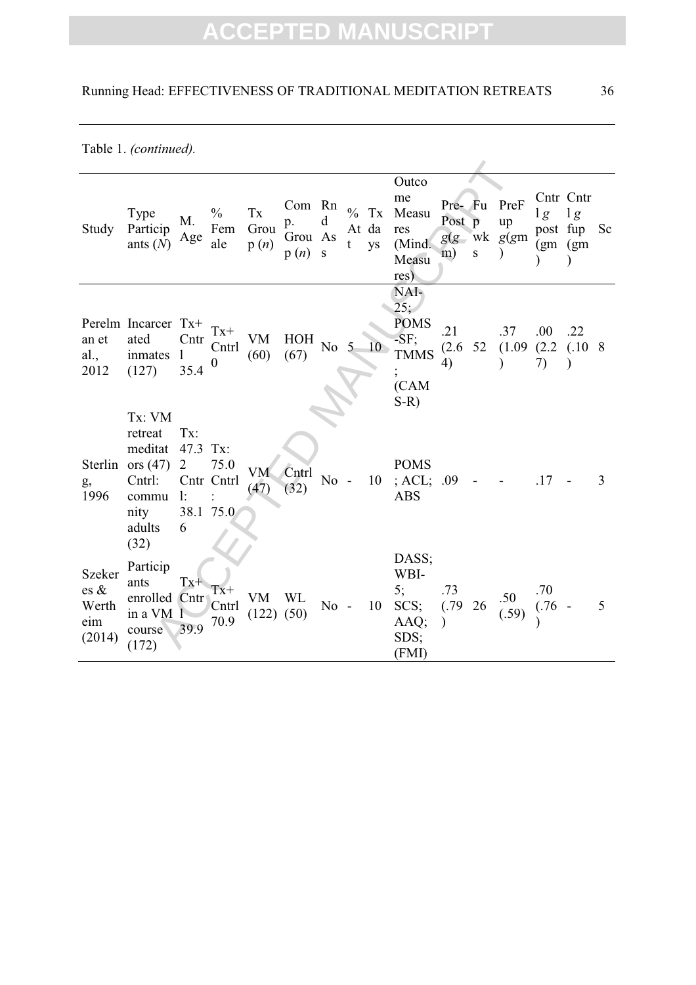Table 1. *(continued).*

| Study                                    | Type<br>Particip<br>ants $(N)$                                                          | М.<br>Age                                | $\frac{0}{0}$<br>Fem<br>ale            | Tx<br>Grou<br>p(n)   | Com Rn<br>p.<br>Grou As<br>p(n) | d<br>S | t | $%$ Tx<br>At da<br>ys | Outco<br>me<br>Measu<br>res<br>(Mind.<br>Measu<br>res)                                 | Post p<br>m)              | $\mathbf S$ | Pre- Fu PreF<br>up<br>$g(g)$ wk $g(gm)$ | $lg$ $lg$           | Cntr Cntr<br>post fup<br>(gm)(gm)<br>$\mathcal{E}$ | Sc |
|------------------------------------------|-----------------------------------------------------------------------------------------|------------------------------------------|----------------------------------------|----------------------|---------------------------------|--------|---|-----------------------|----------------------------------------------------------------------------------------|---------------------------|-------------|-----------------------------------------|---------------------|----------------------------------------------------|----|
| an et<br>al.,<br>2012                    | Perelm Incarcer Tx+<br>ated<br>inmates<br>(127)                                         | Cntr<br>$\mathbf{1}$<br>35.4             | $Tx+$<br>Cntrl<br>$\boldsymbol{0}$     | VM<br>(60)           | <b>HOH</b><br>(67)              | No $5$ |   | 10                    | NAI-<br>25:<br><b>POMS</b><br>$-SF;$<br><b>TMMS</b><br>$\overline{ }$<br>(CAM<br>$S-R$ | .21<br>(2.6)<br>4)        | 52          | .37<br>(1.09)<br>$\mathcal{E}$          | .00.<br>(2.2)<br>7) | .22<br>$(.10 \ 8)$<br>$\mathcal{E}$                |    |
| Sterlin<br>g,<br>1996                    | Tx: VM<br>retreat<br>meditat<br>ors $(47)$<br>Cntrl:<br>commu<br>nity<br>adults<br>(32) | Tx:<br>47.3<br>$\overline{2}$<br>1:<br>6 | Tx:<br>75.0<br>Cntr Cntrl<br>38.1 75.0 | VM<br>(47)           | Cntrl<br>(32)                   | $No -$ |   | 10                    | <b>POMS</b><br>; ACL; .09<br><b>ABS</b>                                                |                           |             |                                         | .17                 |                                                    | 3  |
| Szeker<br>es &<br>Werth<br>eim<br>(2014) | Particip<br>ants<br>enrolled Cntr<br>in a VM 1<br>course<br>(172)                       | $Tx+$<br>39.9                            | $Tx+$<br>Cntrl<br>70.9                 | VM<br>$(122)$ $(50)$ | WL                              | $No -$ |   | 10                    | DASS;<br>WBI-<br>5;<br>SCS;<br>AAQ;<br>SDS;<br>(FMI)                                   | .73<br>(.79)<br>$\lambda$ | 26          | .50<br>(.59)                            | .70<br>$(.76 -$     |                                                    | 5  |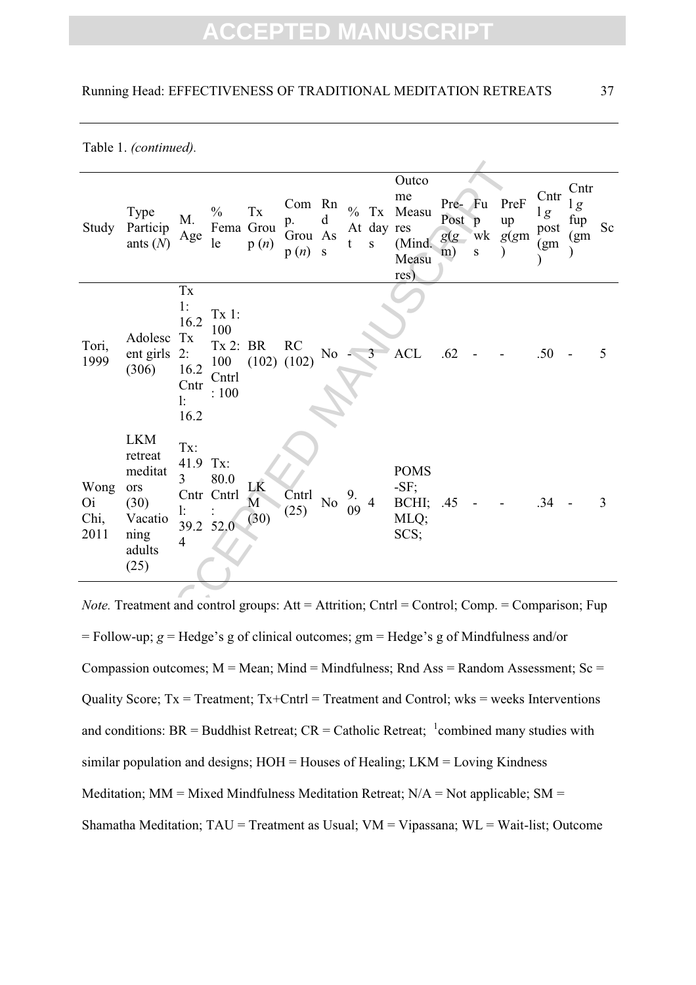|                                   | Table 1. (continued).<br>Outco<br>Cntr<br>Cntr<br>me<br>PreF<br>Com Rn<br>Pre-<br>Fu<br>lg<br>$\frac{0}{0}$<br>$\frac{0}{0}$<br>Tx<br>Measu<br>Tx<br>Type<br>lg<br>Post<br>M.<br>fup<br>$\mathbf{p}$<br>up<br>d<br>p.<br>Fema Grou<br>At day res<br>Sc<br>Particip<br>post<br>wk<br>g(g)<br>g(gm)<br>Grou As<br>(gm<br>Age<br>ants $(N)$<br>le<br>(Mind.<br>p(n)<br>t<br>S<br>(gm<br>p(n)<br>${\bf S}$<br>S<br>m)<br>Measu<br>res)<br>$\mathbf{T}\mathbf{x}$<br>1:<br>Tx 1:<br>16.2<br>100<br>Adolesc<br>Tx<br>Tx 2: BR<br>RC<br><b>ACL</b><br>ent girls<br>N <sub>0</sub><br>.62<br>2:<br>3<br>.50<br>5<br>(102)<br>100<br>(102)<br>(306)<br>16.2<br>Cntrl<br>Cntr<br>: 100<br>1:<br>16.2<br><b>LKM</b><br>Tx:<br>retreat<br>41.9<br>Tx:<br><b>POMS</b><br>meditat<br>$\overline{3}$<br>80.0<br>LK<br>$-SF;$<br>ors<br>Cntr Cntrl |                 |      |                                 |               |     |          |   |                       |     |  |     |   |
|-----------------------------------|------------------------------------------------------------------------------------------------------------------------------------------------------------------------------------------------------------------------------------------------------------------------------------------------------------------------------------------------------------------------------------------------------------------------------------------------------------------------------------------------------------------------------------------------------------------------------------------------------------------------------------------------------------------------------------------------------------------------------------------------------------------------------------------------------------------------------------|-----------------|------|---------------------------------|---------------|-----|----------|---|-----------------------|-----|--|-----|---|
| Study                             |                                                                                                                                                                                                                                                                                                                                                                                                                                                                                                                                                                                                                                                                                                                                                                                                                                    |                 |      |                                 |               |     |          |   |                       |     |  |     |   |
| Tori,<br>1999                     |                                                                                                                                                                                                                                                                                                                                                                                                                                                                                                                                                                                                                                                                                                                                                                                                                                    |                 |      |                                 |               |     |          |   |                       |     |  |     |   |
| Wong<br><b>Oi</b><br>Chi,<br>2011 | (30)<br>Vacatio<br>ning<br>adults<br>(25)                                                                                                                                                                                                                                                                                                                                                                                                                                                                                                                                                                                                                                                                                                                                                                                          | l:<br>39.2<br>4 | 52.0 | $\overline{\mathbf{M}}$<br>(30) | Cntrl<br>(25) | No. | 9.<br>09 | 4 | BCHI;<br>MLQ;<br>SCS; | .45 |  | .34 | 3 |
|                                   | <i>Note.</i> Treatment and control groups: Att = Attrition; Cntrl = Control; Comp. = Comparison; Fup                                                                                                                                                                                                                                                                                                                                                                                                                                                                                                                                                                                                                                                                                                                               |                 |      |                                 |               |     |          |   |                       |     |  |     |   |
|                                   | = Follow-up; $g$ = Hedge's g of clinical outcomes; $gm$ = Hedge's g of Mindfulness and/or                                                                                                                                                                                                                                                                                                                                                                                                                                                                                                                                                                                                                                                                                                                                          |                 |      |                                 |               |     |          |   |                       |     |  |     |   |

*Note.* Treatment and control groups: Att = Attrition; Cntrl = Control; Comp. = Comparison; Fup = Follow-up; *g* = Hedge's g of clinical outcomes; *g*m = Hedge's g of Mindfulness and/or Compassion outcomes;  $M = Mean$ ; Mind = Mindfulness; Rnd Ass = Random Assessment; Sc = Quality Score;  $Tx = Treatment$ ;  $Tx + Cntr1 = Treatment$  and Control; wks = weeks Interventions and conditions: BR = Buddhist Retreat;  $CR =$  Catholic Retreat;  $\frac{1}{2}$ combined many studies with similar population and designs; HOH = Houses of Healing; LKM = Loving Kindness Meditation;  $MM = Mixed Mindfulness Meditation Retreat; N/A = Not applicable; SM =$ Shamatha Meditation; TAU = Treatment as Usual; VM = Vipassana; WL = Wait-list; Outcome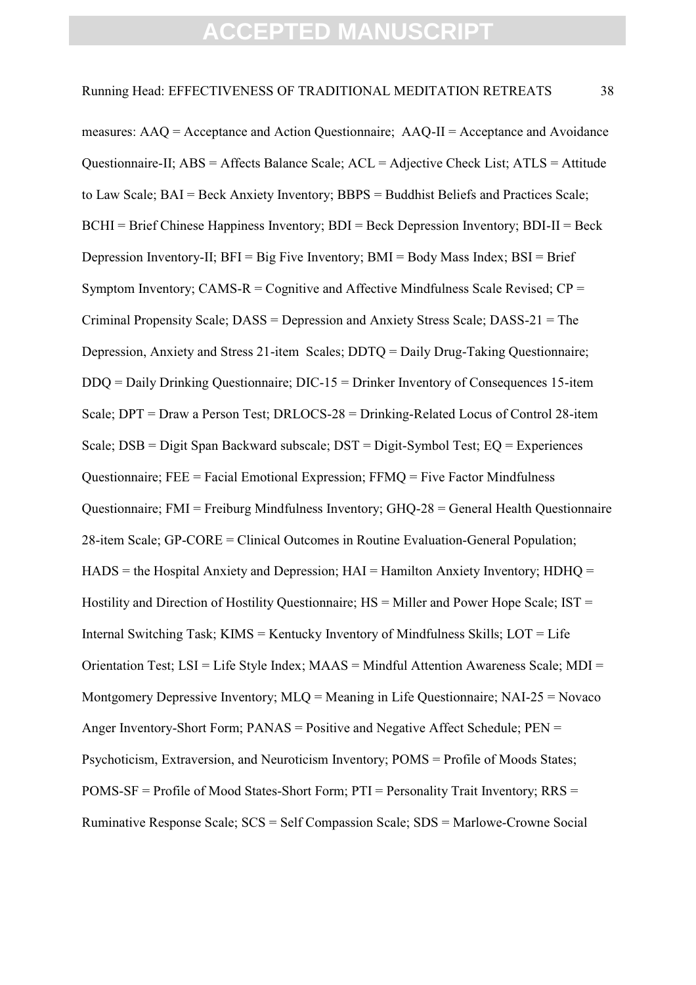e-II; ABS = Affects Balance Scale; ACL = Adjective Check List; A<br>
3 BAI = Beck Anxiety Inventory; BBPS = Buddhist Beliefs and Pra<br>
f Chinese Happiness Inventory; BDI = Beck Depression Inventory;<br>
nventory: II; BFI = Big Fi measures: AAQ = Acceptance and Action Questionnaire; AAQ-II = Acceptance and Avoidance Questionnaire-II; ABS = Affects Balance Scale; ACL = Adjective Check List; ATLS = Attitude to Law Scale; BAI = Beck Anxiety Inventory; BBPS = Buddhist Beliefs and Practices Scale; BCHI = Brief Chinese Happiness Inventory; BDI = Beck Depression Inventory; BDI-II = Beck Depression Inventory-II;  $BFI = Big Five Inventory$ ;  $BMI = Body Mass Index$ ;  $BSI = Brief$ Symptom Inventory; CAMS- $R =$ Cognitive and Affective Mindfulness Scale Revised;  $CP =$ Criminal Propensity Scale; DASS = Depression and Anxiety Stress Scale; DASS-21 = The Depression, Anxiety and Stress 21-item Scales; DDTQ = Daily Drug-Taking Questionnaire; DDQ = Daily Drinking Questionnaire; DIC-15 = Drinker Inventory of Consequences 15-item Scale; DPT = Draw a Person Test; DRLOCS-28 = Drinking-Related Locus of Control 28-item Scale; DSB = Digit Span Backward subscale; DST = Digit-Symbol Test; EQ = Experiences Questionnaire; FEE = Facial Emotional Expression; FFMQ = Five Factor Mindfulness Questionnaire: FMI = Freiburg Mindfulness Inventory:  $GHO-28 =$  General Health Questionnaire 28-item Scale; GP-CORE = Clinical Outcomes in Routine Evaluation-General Population;  $HADS =$  the Hospital Anxiety and Depression;  $HAI =$  Hamilton Anxiety Inventory;  $HDHO =$ Hostility and Direction of Hostility Questionnaire; HS = Miller and Power Hope Scale; IST = Internal Switching Task; KIMS = Kentucky Inventory of Mindfulness Skills;  $LOT = Life$ Orientation Test; LSI = Life Style Index; MAAS = Mindful Attention Awareness Scale; MDI = Montgomery Depressive Inventory; MLQ = Meaning in Life Questionnaire; NAI-25 = Novaco Anger Inventory-Short Form; PANAS = Positive and Negative Affect Schedule; PEN = Psychoticism, Extraversion, and Neuroticism Inventory; POMS = Profile of Moods States; POMS-SF = Profile of Mood States-Short Form; PTI = Personality Trait Inventory; RRS = Ruminative Response Scale; SCS = Self Compassion Scale; SDS = Marlowe-Crowne Social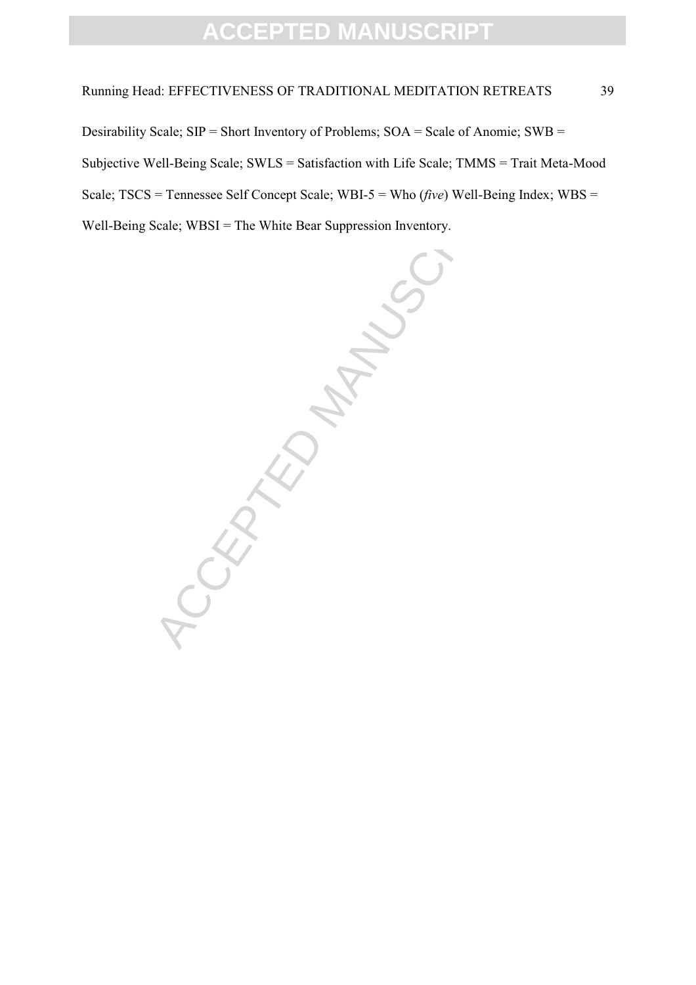### Running Head: EFFECTIVENESS OF TRADITIONAL MEDITATION RETREATS 39

Desirability Scale; SIP = Short Inventory of Problems; SOA = Scale of Anomie; SWB = Subjective Well-Being Scale; SWLS = Satisfaction with Life Scale; TMMS = Trait Meta-Mood Scale; TSCS = Tennessee Self Concept Scale; WBI-5 = Who (*five*) Well-Being Index; WBS = Well-Being Scale; WBSI = The White Bear Suppression Inventory.

CCEPTED MANUSCRIPT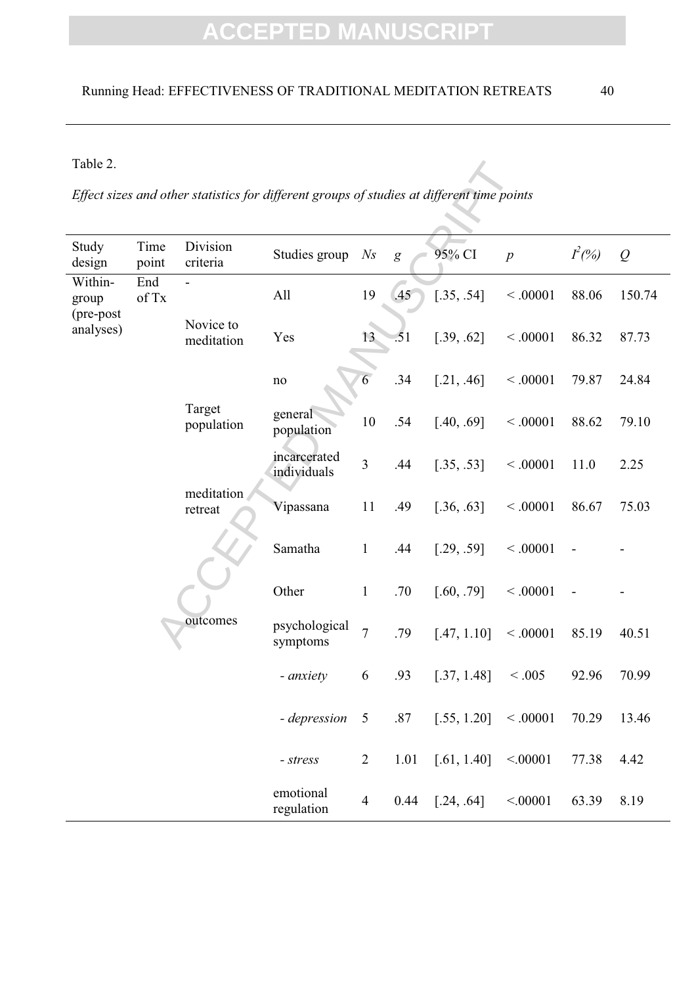Table 2.

| Table 2.               |               |                                                                                            |                             |                |      |             |                |           |        |  |  |  |
|------------------------|---------------|--------------------------------------------------------------------------------------------|-----------------------------|----------------|------|-------------|----------------|-----------|--------|--|--|--|
|                        |               | Effect sizes and other statistics for different groups of studies at different time points |                             |                |      |             |                |           |        |  |  |  |
| Study<br>design        | Time<br>point | Division<br>criteria                                                                       | Studies group               | N <sub>S</sub> | g    | 95% CI      | $\overline{p}$ | $I^2(\%)$ | Q      |  |  |  |
| Within-<br>group       | End<br>of Tx  |                                                                                            | All                         | 19             | .45  | [.35, .54]  | < 0.0001       | 88.06     | 150.74 |  |  |  |
| (pre-post<br>analyses) |               | Novice to<br>meditation                                                                    | Yes                         | 13             | .51  | [.39, .62]  | < 0.0001       | 86.32     | 87.73  |  |  |  |
|                        |               |                                                                                            | $\rm no$                    | 6              | .34  | [.21, .46]  | < .00001       | 79.87     | 24.84  |  |  |  |
|                        |               | Target<br>population                                                                       | general<br>population       | 10             | .54  | [.40, .69]  | < .00001       | 88.62     | 79.10  |  |  |  |
|                        |               |                                                                                            | incarcerated<br>individuals | $\overline{3}$ | .44  | [.35, .53]  | < .00001       | 11.0      | 2.25   |  |  |  |
|                        |               | meditation<br>retreat                                                                      | Vipassana                   | 11             | .49  | [.36, .63]  | < 0.0001       | 86.67     | 75.03  |  |  |  |
|                        |               |                                                                                            | Samatha                     | $\mathbf{1}$   | .44  | [.29, .59]  | < 0.0001       |           |        |  |  |  |
|                        |               |                                                                                            | Other                       | $\mathbf{1}$   | .70  | [.60, .79]  | < 0.0001       |           |        |  |  |  |
|                        |               | outcomes                                                                                   | psychological<br>symptoms   | $\overline{7}$ | .79  | [.47, 1.10] | < 0.0001       | 85.19     | 40.51  |  |  |  |
|                        |               |                                                                                            | - anxiety                   | 6              | .93  | [.37, 1.48] | < 0.005        | 92.96     | 70.99  |  |  |  |
|                        |               |                                                                                            | - depression 5 .87          |                |      | [.55, 1.20] | < .00001       | 70.29     | 13.46  |  |  |  |
|                        |               |                                                                                            | $- stress$                  | $\overline{2}$ | 1.01 | [.61, 1.40] | < .00001       | 77.38     | 4.42   |  |  |  |
|                        |               |                                                                                            | emotional<br>regulation     | $\overline{4}$ | 0.44 | [.24, .64]  | < .00001       | 63.39     | 8.19   |  |  |  |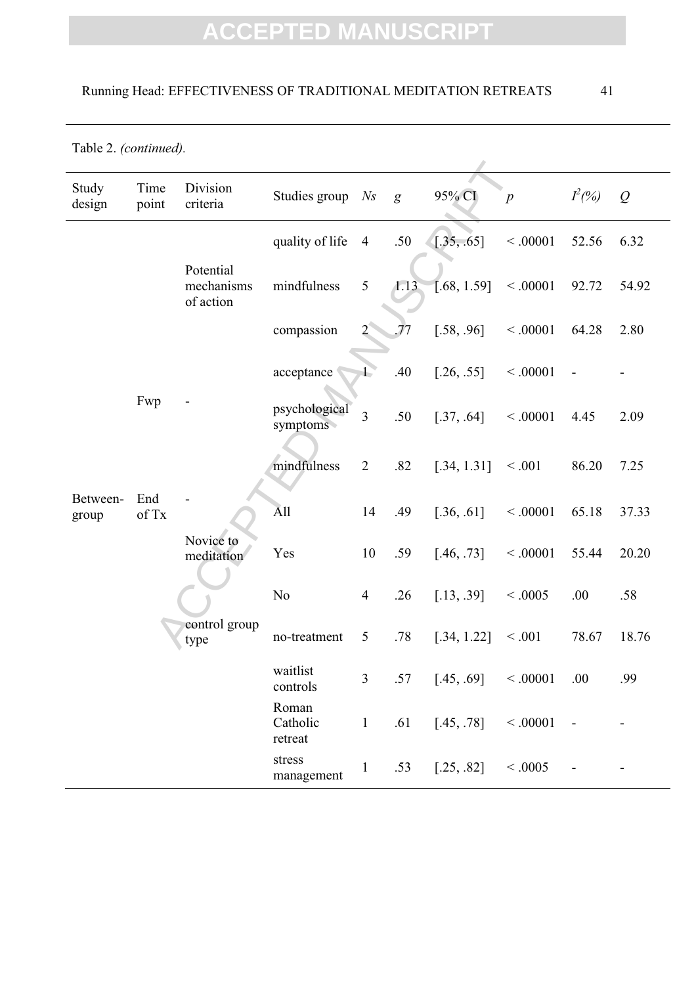### Running Head: EFFECTIVENESS OF TRADITIONAL MEDITATION RETREATS 41

|  | Table 2. (continued). |
|--|-----------------------|
|--|-----------------------|

| Study<br>design   | Time<br>point | Division<br>criteria                 | Studies group                | N <sub>S</sub> | $\mathfrak{g}$ | 95% CI      | $\overline{p}$ | $I^2(\%)$ | Q     |
|-------------------|---------------|--------------------------------------|------------------------------|----------------|----------------|-------------|----------------|-----------|-------|
|                   |               |                                      | quality of life              | $\overline{4}$ | .50            | [.35, .65]  | < .00001       | 52.56     | 6.32  |
|                   |               | Potential<br>mechanisms<br>of action | mindfulness                  | 5              | 1.13           | [.68, 1.59] | < .00001       | 92.72     | 54.92 |
|                   |               |                                      | compassion                   |                | 77             | [.58, .96]  | < 0.0001       | 64.28     | 2.80  |
|                   |               |                                      | acceptance                   |                | .40            | [.26, .55]  | < 0.0001       |           |       |
|                   | Fwp           |                                      | psychological<br>symptoms    | 3              | .50            | [.37, .64]  | < 0.0001       | 4.45      | 2.09  |
|                   |               |                                      | mindfulness                  | $\overline{2}$ | .82            | [.34, 1.31] | < 0.001        | 86.20     | 7.25  |
| Between-<br>group | End<br>of Tx  |                                      | All                          | 14             | .49            | [.36, .61]  | < 0.0001       | 65.18     | 37.33 |
|                   |               | Novice to<br>meditation              | Yes                          | $10\,$         | .59            | [.46, .73]  | < 0.0001       | 55.44     | 20.20 |
|                   |               |                                      | N <sub>o</sub>               | $\overline{4}$ | .26            | [.13, .39]  | < 0.0005       | .00       | .58   |
|                   |               | control group<br>type                | no-treatment                 | 5              | .78            | [.34, 1.22] | < 0.001        | 78.67     | 18.76 |
|                   |               |                                      | waitlist<br>controls         | 3              | .57            | [.45, .69]  | < 0.0001       | .00       | .99   |
|                   |               |                                      | Roman<br>Catholic<br>retreat | $\mathbf{1}$   | .61            | [.45, .78]  | < .00001       |           |       |
|                   |               |                                      | stress<br>management         | -1             | .53            | [.25, .82]  | < 0.0005       |           |       |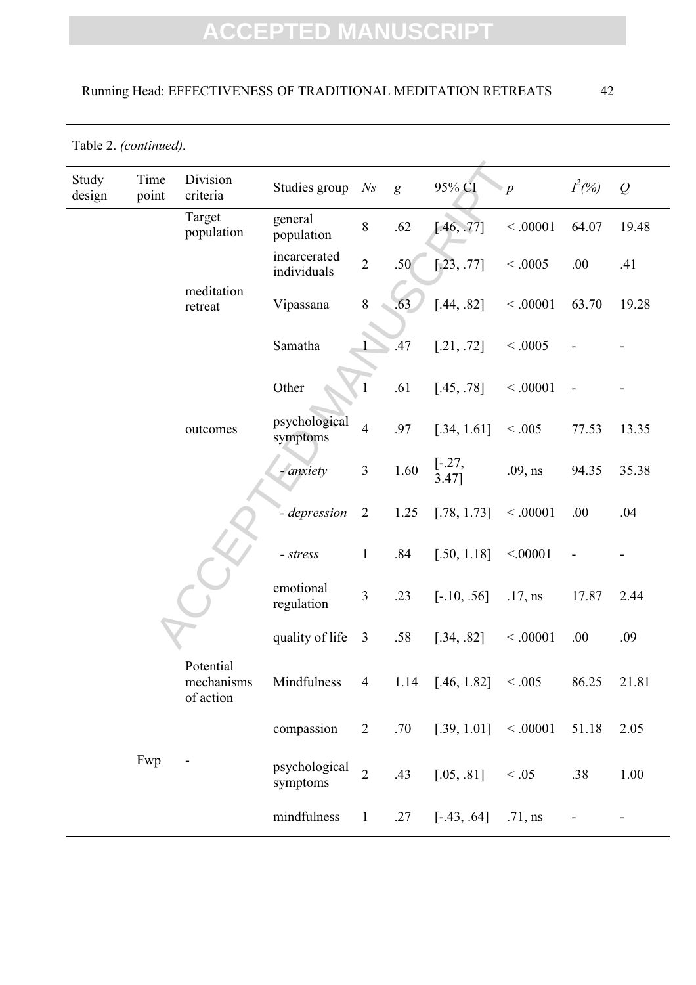### Running Head: EFFECTIVENESS OF TRADITIONAL MEDITATION RETREATS 42

Table 2. *(continued).*

| Study<br>design | Time<br>point | Division<br>criteria                 | Studies group                                | N <sub>S</sub> | $\mathfrak{g}$ | 95% CI                     | $\triangleright p$ | $I^2(\%)$      | Q     |
|-----------------|---------------|--------------------------------------|----------------------------------------------|----------------|----------------|----------------------------|--------------------|----------------|-------|
|                 |               | Target<br>population                 | general<br>population                        | $8\,$          | .62            | [.46, .77]                 | < .00001           | 64.07          | 19.48 |
|                 |               |                                      | incarcerated<br>individuals                  | $\overline{2}$ | .50            | [.23, .77]                 | < 0.0005           | .00            | .41   |
|                 |               | meditation<br>retreat                | Vipassana                                    | $8\,$          | .63            | [.44, .82]                 | < .00001           | 63.70          | 19.28 |
|                 |               |                                      | Samatha                                      |                | .47            | [.21, .72]                 | < 0.0005           |                |       |
|                 |               |                                      | Other                                        |                | .61            | [.45, .78]                 | < .00001           |                |       |
|                 |               | outcomes                             | psychological<br>symptoms                    | $\overline{4}$ | .97            | [.34, 1.61]                | < 0.005            | 77.53          | 13.35 |
|                 |               |                                      | - anxiety                                    | $\mathfrak{Z}$ | 1.60           | $[-.27,$<br>$3.47$ ]       | $.09$ , ns         | 94.35          | 35.38 |
|                 |               |                                      | - depression                                 | $\overline{2}$ | 1.25           | [.78, 1.73]                | < 0.0001           | .00            | .04   |
|                 |               |                                      | $- stress$                                   | $\mathbf{1}$   | .84            | [.50, 1.18]                | < .00001           |                |       |
|                 |               |                                      | emotional<br>regulation                      | $\overline{3}$ | .23            | $[-.10, .56]$              | $.17$ , ns         | 17.87          | 2.44  |
|                 |               |                                      | quality of life                              | $\mathfrak{Z}$ | .58            | [.34, .82]                 | < 0.0001           | .00            | .09   |
|                 |               | Potential<br>mechanisms<br>of action | Mindfulness $4$ 1.14 [.46, 1.82] $\leq .005$ |                |                |                            |                    | 86.25          | 21.81 |
|                 |               |                                      | compassion                                   | $\overline{2}$ |                | $.70$ [.39, 1.01] < .00001 |                    | 51.18          | 2.05  |
|                 | Fwp           |                                      | psychological<br>symptoms                    | $\overline{2}$ | .43            | $[.05, .81]$ < .05         |                    | .38            | 1.00  |
|                 |               |                                      | mindfulness                                  | $\mathbf{1}$   |                | $.27$ [-.43, .64] .71, ns  |                    | $\blacksquare$ |       |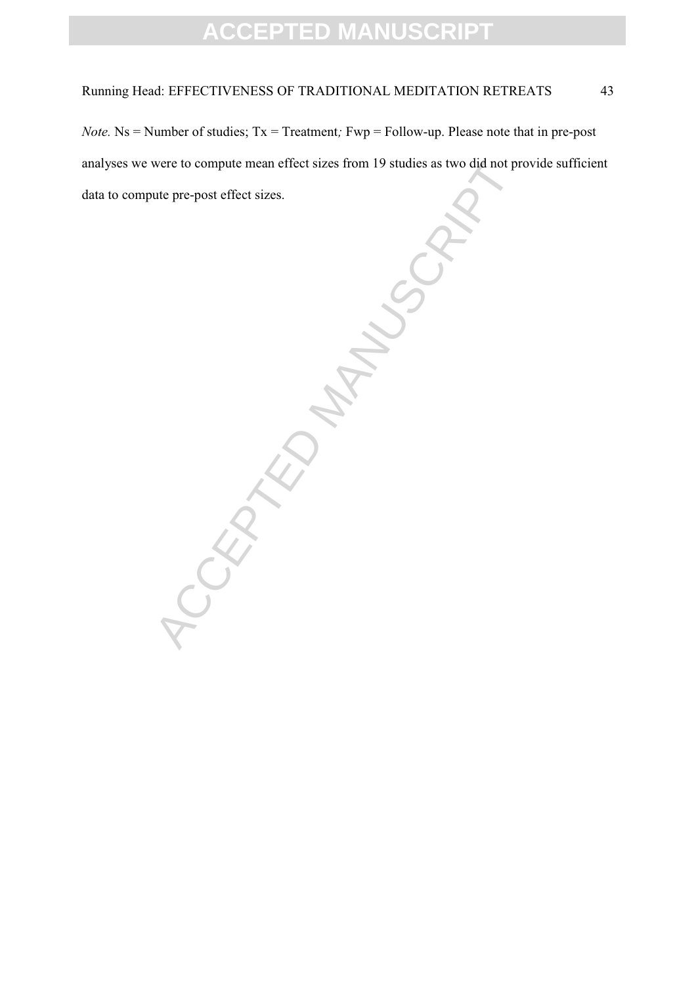### Running Head: EFFECTIVENESS OF TRADITIONAL MEDITATION RETREATS 43

*Note.* Ns = Number of studies; Tx = Treatment*;* Fwp = Follow-up. Please note that in pre-post analyses we were to compute mean effect sizes from 19 studies as two did not provide sufficient data to compute pre-post effect sizes.

-CEPTED MANUSCRIPT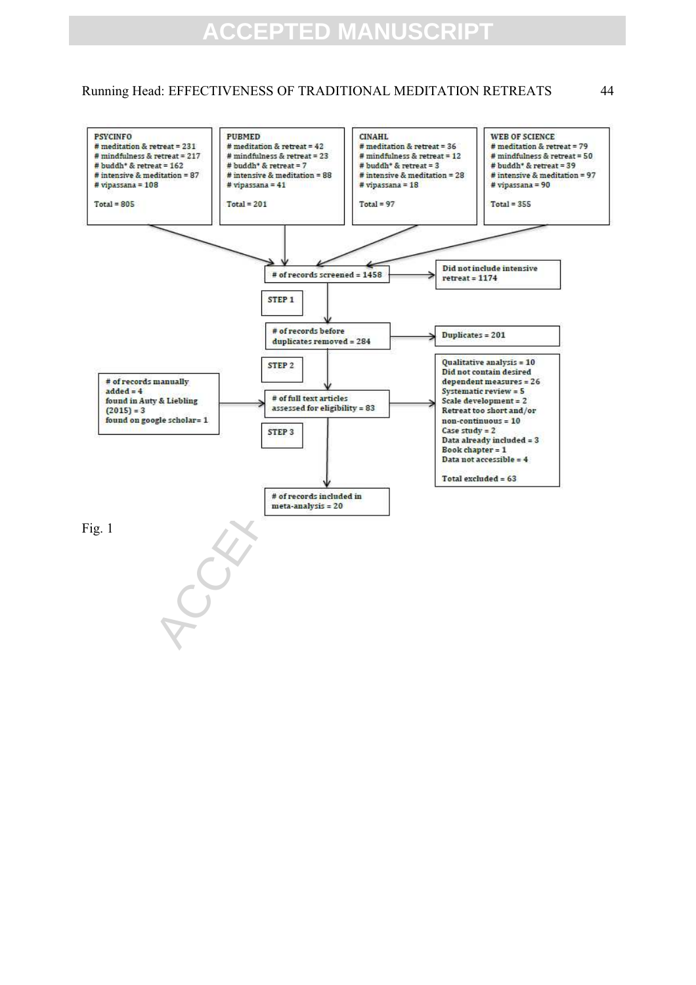Running Head: EFFECTIVENESS OF TRADITIONAL MEDITATION RETREATS 44

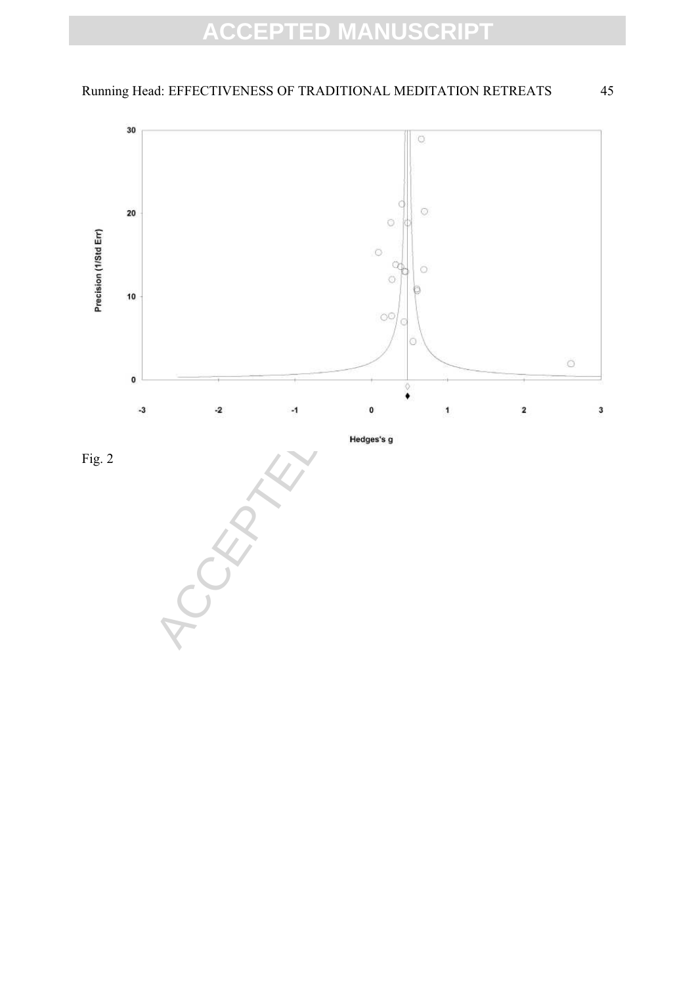### Running Head: EFFECTIVENESS OF TRADITIONAL MEDITATION RETREATS 45





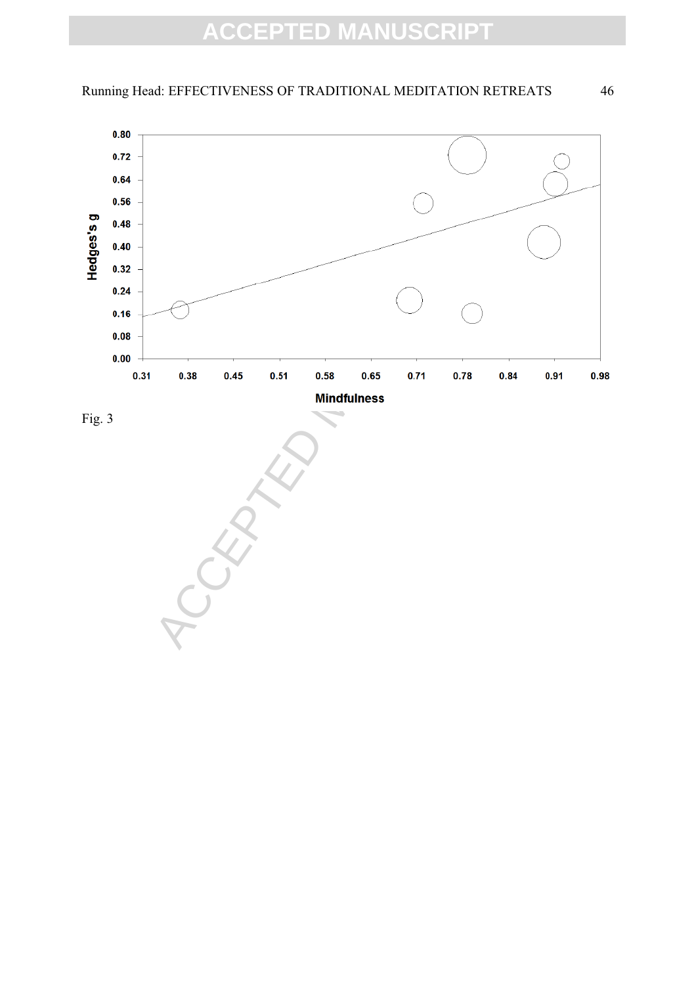

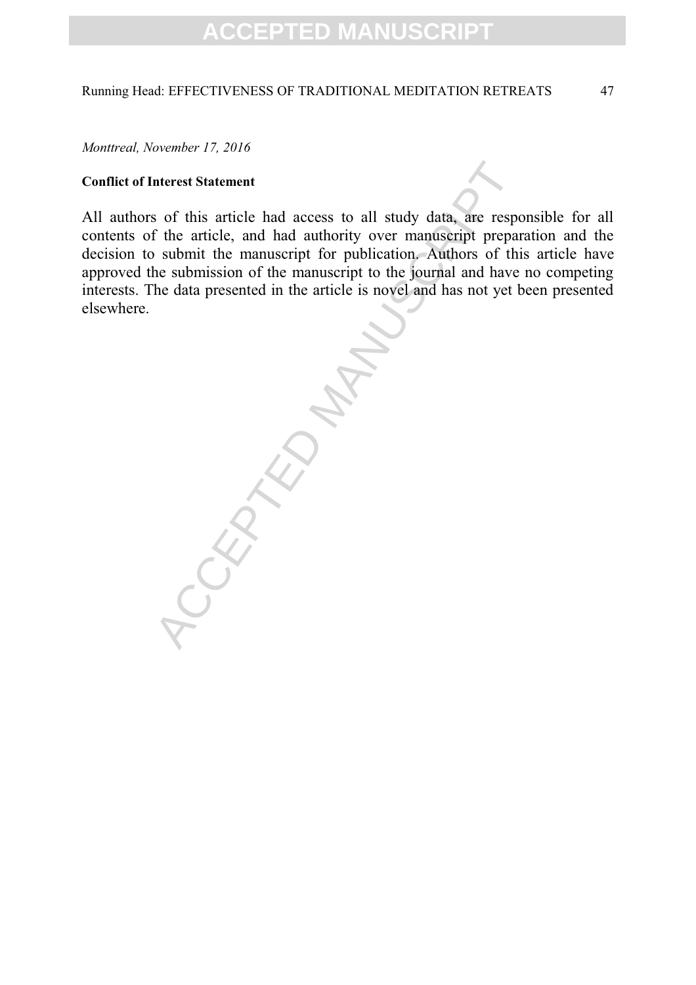### Running Head: EFFECTIVENESS OF TRADITIONAL MEDITATION RETREATS 47

*Monttreal, November 17, 2016* 

### **Conflict of Interest Statement**

All authors of this article had access to all study data, are responsible for all contents of the article, and had authority over manuscript preparation and the decision to submit the manuscript for publication. Authors of this article have approved the submission of the manuscript to the journal and have no competing interests. The data presented in the article is novel and has not yet been presented elsewhere.

ACCEPTED MANUSCRIPT